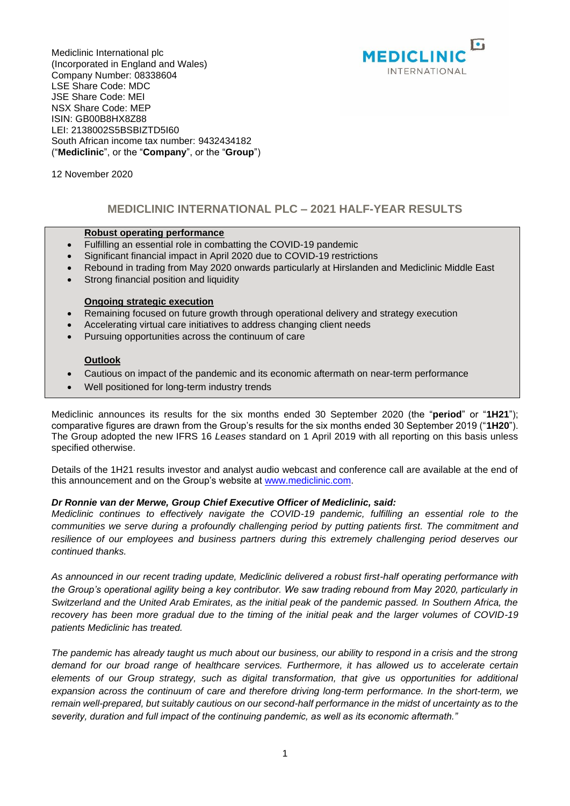

Mediclinic International plc (Incorporated in England and Wales) Company Number: 08338604 LSE Share Code: MDC JSE Share Code: MEI NSX Share Code: MEP ISIN: GB00B8HX8Z88 LEI: 2138002S5BSBIZTD5I60 South African income tax number: 9432434182 ("**Mediclinic**", or the "**Company**", or the "**Group**")

12 November 2020

## **MEDICLINIC INTERNATIONAL PLC – 2021 HALF-YEAR RESULTS**

#### **Robust operating performance**

- Fulfilling an essential role in combatting the COVID-19 pandemic
- Significant financial impact in April 2020 due to COVID-19 restrictions
- Rebound in trading from May 2020 onwards particularly at Hirslanden and Mediclinic Middle East
- Strong financial position and liquidity

#### **Ongoing strategic execution**

- Remaining focused on future growth through operational delivery and strategy execution
- Accelerating virtual care initiatives to address changing client needs
- Pursuing opportunities across the continuum of care

#### **Outlook**

- Cautious on impact of the pandemic and its economic aftermath on near-term performance
- Well positioned for long-term industry trends

Mediclinic announces its results for the six months ended 30 September 2020 (the "**period**" or "**1H21**"); comparative figures are drawn from the Group's results for the six months ended 30 September 2019 ("**1H20**"). The Group adopted the new IFRS 16 *Leases* standard on 1 April 2019 with all reporting on this basis unless specified otherwise.

Details of the 1H21 results investor and analyst audio webcast and conference call are available at the end of this announcement and on the Group's website at [www.mediclinic.com.](http://www.mediclinic.com/)

#### *Dr Ronnie van der Merwe, Group Chief Executive Officer of Mediclinic, said:*

*Mediclinic continues to effectively navigate the COVID-19 pandemic, fulfilling an essential role to the communities we serve during a profoundly challenging period by putting patients first. The commitment and resilience of our employees and business partners during this extremely challenging period deserves our continued thanks.*

*As announced in our recent trading update, Mediclinic delivered a robust first-half operating performance with the Group's operational agility being a key contributor. We saw trading rebound from May 2020, particularly in Switzerland and the United Arab Emirates, as the initial peak of the pandemic passed. In Southern Africa, the recovery has been more gradual due to the timing of the initial peak and the larger volumes of COVID-19 patients Mediclinic has treated.* 

*The pandemic has already taught us much about our business, our ability to respond in a crisis and the strong demand for our broad range of healthcare services. Furthermore, it has allowed us to accelerate certain elements of our Group strategy, such as digital transformation, that give us opportunities for additional expansion across the continuum of care and therefore driving long-term performance. In the short-term, we remain well-prepared, but suitably cautious on our second-half performance in the midst of uncertainty as to the severity, duration and full impact of the continuing pandemic, as well as its economic aftermath."*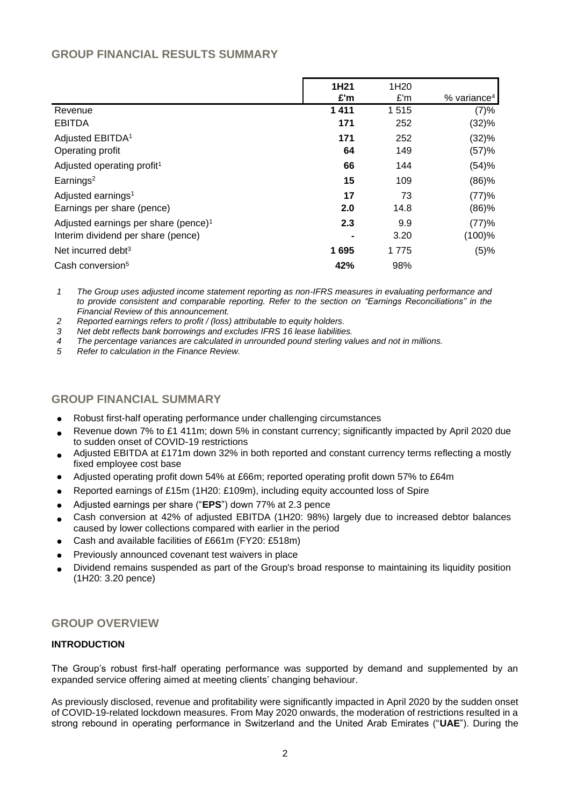## **GROUP FINANCIAL RESULTS SUMMARY**

|                                                  | 1H <sub>21</sub><br>£'m | 1H <sub>20</sub><br>£'m | $%$ variance <sup>4</sup> |
|--------------------------------------------------|-------------------------|-------------------------|---------------------------|
| Revenue                                          | 1 4 1 1                 | 1515                    | (7)%                      |
| <b>EBITDA</b>                                    | 171                     | 252                     | (32)%                     |
| Adjusted EBITDA <sup>1</sup>                     | 171                     | 252                     | (32)%                     |
| Operating profit                                 | 64                      | 149                     | (57)%                     |
| Adjusted operating profit <sup>1</sup>           | 66                      | 144                     | (54)%                     |
| Earnings <sup>2</sup>                            | 15                      | 109                     | (86)%                     |
| Adjusted earnings <sup>1</sup>                   | 17                      | 73                      | (77)%                     |
| Earnings per share (pence)                       | 2.0                     | 14.8                    | (86)%                     |
| Adjusted earnings per share (pence) <sup>1</sup> | 2.3                     | 9.9                     | (77)%                     |
| Interim dividend per share (pence)               | ۰                       | 3.20                    | (100)%                    |
| Net incurred debt <sup>3</sup>                   | 1695                    | 1775                    | (5)%                      |
| Cash conversion <sup>5</sup>                     | 42%                     | 98%                     |                           |

*1 The Group uses adjusted income statement reporting as non-IFRS measures in evaluating performance and to provide consistent and comparable reporting. Refer to the section on "Earnings Reconciliations" in the Financial Review of this announcement.* 

*2 Reported earnings refers to profit / (loss) attributable to equity holders.*

*3 Net debt reflects bank borrowings and excludes IFRS 16 lease liabilities.* 

*4 The percentage variances are calculated in unrounded pound sterling values and not in millions.* 

*5 Refer to calculation in the Finance Review.*

## **GROUP FINANCIAL SUMMARY**

- Robust first-half operating performance under challenging circumstances
- Revenue down 7% to £1 411m; down 5% in constant currency; significantly impacted by April 2020 due to sudden onset of COVID-19 restrictions
- Adjusted EBITDA at £171m down 32% in both reported and constant currency terms reflecting a mostly fixed employee cost base
- Adjusted operating profit down 54% at £66m; reported operating profit down 57% to £64m
- Reported earnings of £15m (1H20: £109m), including equity accounted loss of Spire
- Adjusted earnings per share ("**EPS**") down 77% at 2.3 pence
- Cash conversion at 42% of adjusted EBITDA (1H20: 98%) largely due to increased debtor balances caused by lower collections compared with earlier in the period
- Cash and available facilities of £661m (FY20: £518m)
- Previously announced covenant test waivers in place
- Dividend remains suspended as part of the Group's broad response to maintaining its liquidity position (1H20: 3.20 pence)

## **GROUP OVERVIEW**

#### **INTRODUCTION**

The Group's robust first-half operating performance was supported by demand and supplemented by an expanded service offering aimed at meeting clients' changing behaviour.

As previously disclosed, revenue and profitability were significantly impacted in April 2020 by the sudden onset of COVID-19-related lockdown measures. From May 2020 onwards, the moderation of restrictions resulted in a strong rebound in operating performance in Switzerland and the United Arab Emirates ("**UAE**"). During the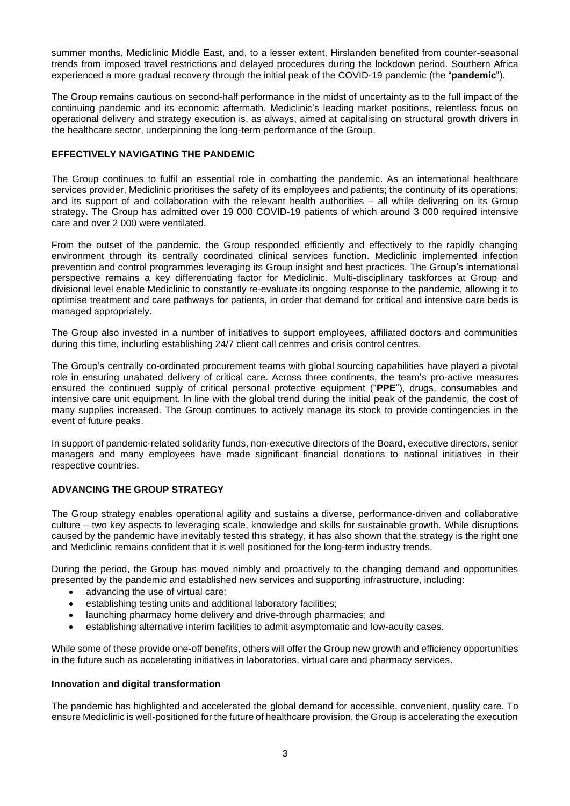summer months, Mediclinic Middle East, and, to a lesser extent, Hirslanden benefited from counter-seasonal trends from imposed travel restrictions and delayed procedures during the lockdown period. Southern Africa experienced a more gradual recovery through the initial peak of the COVID-19 pandemic (the "**pandemic**").

The Group remains cautious on second-half performance in the midst of uncertainty as to the full impact of the continuing pandemic and its economic aftermath. Mediclinic's leading market positions, relentless focus on operational delivery and strategy execution is, as always, aimed at capitalising on structural growth drivers in the healthcare sector, underpinning the long-term performance of the Group.

#### **EFFECTIVELY NAVIGATING THE PANDEMIC**

The Group continues to fulfil an essential role in combatting the pandemic. As an international healthcare services provider, Mediclinic prioritises the safety of its employees and patients; the continuity of its operations; and its support of and collaboration with the relevant health authorities – all while delivering on its Group strategy. The Group has admitted over 19 000 COVID-19 patients of which around 3 000 required intensive care and over 2 000 were ventilated.

From the outset of the pandemic, the Group responded efficiently and effectively to the rapidly changing environment through its centrally coordinated clinical services function. Mediclinic implemented infection prevention and control programmes leveraging its Group insight and best practices. The Group's international perspective remains a key differentiating factor for Mediclinic. Multi-disciplinary taskforces at Group and divisional level enable Mediclinic to constantly re-evaluate its ongoing response to the pandemic, allowing it to optimise treatment and care pathways for patients, in order that demand for critical and intensive care beds is managed appropriately.

The Group also invested in a number of initiatives to support employees, affiliated doctors and communities during this time, including establishing 24/7 client call centres and crisis control centres.

The Group's centrally co-ordinated procurement teams with global sourcing capabilities have played a pivotal role in ensuring unabated delivery of critical care. Across three continents, the team's pro-active measures ensured the continued supply of critical personal protective equipment ("**PPE**"), drugs, consumables and intensive care unit equipment. In line with the global trend during the initial peak of the pandemic, the cost of many supplies increased. The Group continues to actively manage its stock to provide contingencies in the event of future peaks.

In support of pandemic-related solidarity funds, non-executive directors of the Board, executive directors, senior managers and many employees have made significant financial donations to national initiatives in their respective countries.

#### **ADVANCING THE GROUP STRATEGY**

The Group strategy enables operational agility and sustains a diverse, performance-driven and collaborative culture – two key aspects to leveraging scale, knowledge and skills for sustainable growth. While disruptions caused by the pandemic have inevitably tested this strategy, it has also shown that the strategy is the right one and Mediclinic remains confident that it is well positioned for the long-term industry trends.

During the period, the Group has moved nimbly and proactively to the changing demand and opportunities presented by the pandemic and established new services and supporting infrastructure, including:

- advancing the use of virtual care;
- establishing testing units and additional laboratory facilities;
- launching pharmacy home delivery and drive-through pharmacies; and
- establishing alternative interim facilities to admit asymptomatic and low-acuity cases.

While some of these provide one-off benefits, others will offer the Group new growth and efficiency opportunities in the future such as accelerating initiatives in laboratories, virtual care and pharmacy services.

#### **Innovation and digital transformation**

The pandemic has highlighted and accelerated the global demand for accessible, convenient, quality care. To ensure Mediclinic is well-positioned for the future of healthcare provision, the Group is accelerating the execution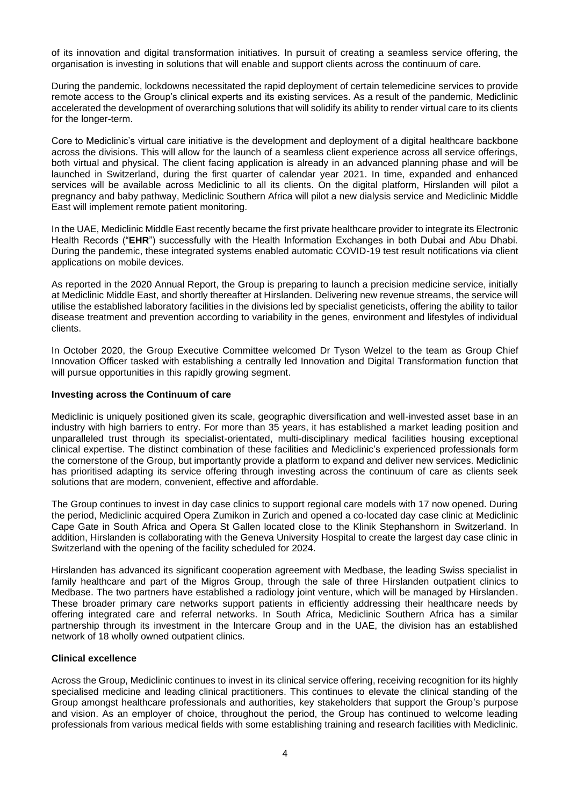of its innovation and digital transformation initiatives. In pursuit of creating a seamless service offering, the organisation is investing in solutions that will enable and support clients across the continuum of care.

During the pandemic, lockdowns necessitated the rapid deployment of certain telemedicine services to provide remote access to the Group's clinical experts and its existing services. As a result of the pandemic, Mediclinic accelerated the development of overarching solutions that will solidify its ability to render virtual care to its clients for the longer-term.

Core to Mediclinic's virtual care initiative is the development and deployment of a digital healthcare backbone across the divisions. This will allow for the launch of a seamless client experience across all service offerings, both virtual and physical. The client facing application is already in an advanced planning phase and will be launched in Switzerland, during the first quarter of calendar year 2021. In time, expanded and enhanced services will be available across Mediclinic to all its clients. On the digital platform, Hirslanden will pilot a pregnancy and baby pathway, Mediclinic Southern Africa will pilot a new dialysis service and Mediclinic Middle East will implement remote patient monitoring.

In the UAE, Mediclinic Middle East recently became the first private healthcare provider to integrate its Electronic Health Records ("**EHR**") successfully with the Health Information Exchanges in both Dubai and Abu Dhabi. During the pandemic, these integrated systems enabled automatic COVID-19 test result notifications via client applications on mobile devices.

As reported in the 2020 Annual Report, the Group is preparing to launch a precision medicine service, initially at Mediclinic Middle East, and shortly thereafter at Hirslanden. Delivering new revenue streams, the service will utilise the established laboratory facilities in the divisions led by specialist geneticists, offering the ability to tailor disease treatment and prevention according to variability in the genes, environment and lifestyles of individual clients.

In October 2020, the Group Executive Committee welcomed Dr Tyson Welzel to the team as Group Chief Innovation Officer tasked with establishing a centrally led Innovation and Digital Transformation function that will pursue opportunities in this rapidly growing segment.

#### **Investing across the Continuum of care**

Mediclinic is uniquely positioned given its scale, geographic diversification and well-invested asset base in an industry with high barriers to entry. For more than 35 years, it has established a market leading position and unparalleled trust through its specialist-orientated, multi-disciplinary medical facilities housing exceptional clinical expertise. The distinct combination of these facilities and Mediclinic's experienced professionals form the cornerstone of the Group, but importantly provide a platform to expand and deliver new services. Mediclinic has prioritised adapting its service offering through investing across the continuum of care as clients seek solutions that are modern, convenient, effective and affordable.

The Group continues to invest in day case clinics to support regional care models with 17 now opened. During the period, Mediclinic acquired Opera Zumikon in Zurich and opened a co-located day case clinic at Mediclinic Cape Gate in South Africa and Opera St Gallen located close to the Klinik Stephanshorn in Switzerland. In addition, Hirslanden is collaborating with the Geneva University Hospital to create the largest day case clinic in Switzerland with the opening of the facility scheduled for 2024.

Hirslanden has advanced its significant cooperation agreement with Medbase, the leading Swiss specialist in family healthcare and part of the Migros Group, through the sale of three Hirslanden outpatient clinics to Medbase. The two partners have established a radiology joint venture, which will be managed by Hirslanden. These broader primary care networks support patients in efficiently addressing their healthcare needs by offering integrated care and referral networks. In South Africa, Mediclinic Southern Africa has a similar partnership through its investment in the Intercare Group and in the UAE, the division has an established network of 18 wholly owned outpatient clinics.

#### **Clinical excellence**

Across the Group, Mediclinic continues to invest in its clinical service offering, receiving recognition for its highly specialised medicine and leading clinical practitioners. This continues to elevate the clinical standing of the Group amongst healthcare professionals and authorities, key stakeholders that support the Group's purpose and vision. As an employer of choice, throughout the period, the Group has continued to welcome leading professionals from various medical fields with some establishing training and research facilities with Mediclinic.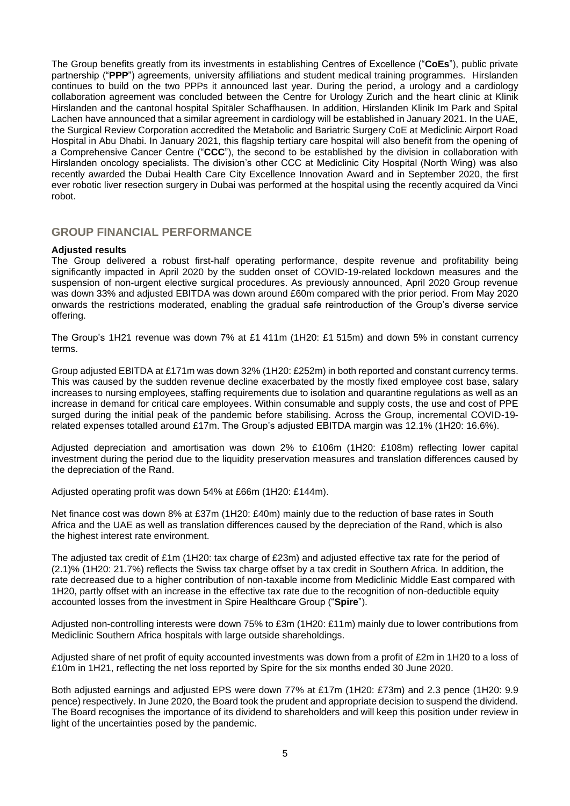The Group benefits greatly from its investments in establishing Centres of Excellence ("**CoEs**"), public private partnership ("**PPP**") agreements, university affiliations and student medical training programmes. Hirslanden continues to build on the two PPPs it announced last year. During the period, a urology and a cardiology collaboration agreement was concluded between the Centre for Urology Zurich and the heart clinic at Klinik Hirslanden and the cantonal hospital Spitäler Schaffhausen. In addition, Hirslanden Klinik Im Park and Spital Lachen have announced that a similar agreement in cardiology will be established in January 2021. In the UAE, the Surgical Review Corporation accredited the Metabolic and Bariatric Surgery CoE at Mediclinic Airport Road Hospital in Abu Dhabi. In January 2021, this flagship tertiary care hospital will also benefit from the opening of a Comprehensive Cancer Centre ("**CCC**"), the second to be established by the division in collaboration with Hirslanden oncology specialists. The division's other CCC at Mediclinic City Hospital (North Wing) was also recently awarded the Dubai Health Care City Excellence Innovation Award and in September 2020, the first ever robotic liver resection surgery in Dubai was performed at the hospital using the recently acquired da Vinci robot.

### **GROUP FINANCIAL PERFORMANCE**

#### **Adjusted results**

The Group delivered a robust first-half operating performance, despite revenue and profitability being significantly impacted in April 2020 by the sudden onset of COVID-19-related lockdown measures and the suspension of non-urgent elective surgical procedures. As previously announced, April 2020 Group revenue was down 33% and adjusted EBITDA was down around £60m compared with the prior period. From May 2020 onwards the restrictions moderated, enabling the gradual safe reintroduction of the Group's diverse service offering.

The Group's 1H21 revenue was down 7% at £1 411m (1H20: £1 515m) and down 5% in constant currency terms.

Group adjusted EBITDA at £171m was down 32% (1H20: £252m) in both reported and constant currency terms. This was caused by the sudden revenue decline exacerbated by the mostly fixed employee cost base, salary increases to nursing employees, staffing requirements due to isolation and quarantine regulations as well as an increase in demand for critical care employees. Within consumable and supply costs, the use and cost of PPE surged during the initial peak of the pandemic before stabilising. Across the Group, incremental COVID-19 related expenses totalled around £17m. The Group's adjusted EBITDA margin was 12.1% (1H20: 16.6%).

Adjusted depreciation and amortisation was down 2% to £106m (1H20: £108m) reflecting lower capital investment during the period due to the liquidity preservation measures and translation differences caused by the depreciation of the Rand.

Adjusted operating profit was down 54% at £66m (1H20: £144m).

Net finance cost was down 8% at £37m (1H20: £40m) mainly due to the reduction of base rates in South Africa and the UAE as well as translation differences caused by the depreciation of the Rand, which is also the highest interest rate environment.

The adjusted tax credit of £1m (1H20: tax charge of £23m) and adjusted effective tax rate for the period of (2.1)% (1H20: 21.7%) reflects the Swiss tax charge offset by a tax credit in Southern Africa. In addition, the rate decreased due to a higher contribution of non-taxable income from Mediclinic Middle East compared with 1H20, partly offset with an increase in the effective tax rate due to the recognition of non-deductible equity accounted losses from the investment in Spire Healthcare Group ("**Spire**").

Adjusted non-controlling interests were down 75% to £3m (1H20: £11m) mainly due to lower contributions from Mediclinic Southern Africa hospitals with large outside shareholdings.

Adjusted share of net profit of equity accounted investments was down from a profit of £2m in 1H20 to a loss of £10m in 1H21, reflecting the net loss reported by Spire for the six months ended 30 June 2020.

Both adjusted earnings and adjusted EPS were down 77% at £17m (1H20: £73m) and 2.3 pence (1H20: 9.9 pence) respectively. In June 2020, the Board took the prudent and appropriate decision to suspend the dividend. The Board recognises the importance of its dividend to shareholders and will keep this position under review in light of the uncertainties posed by the pandemic.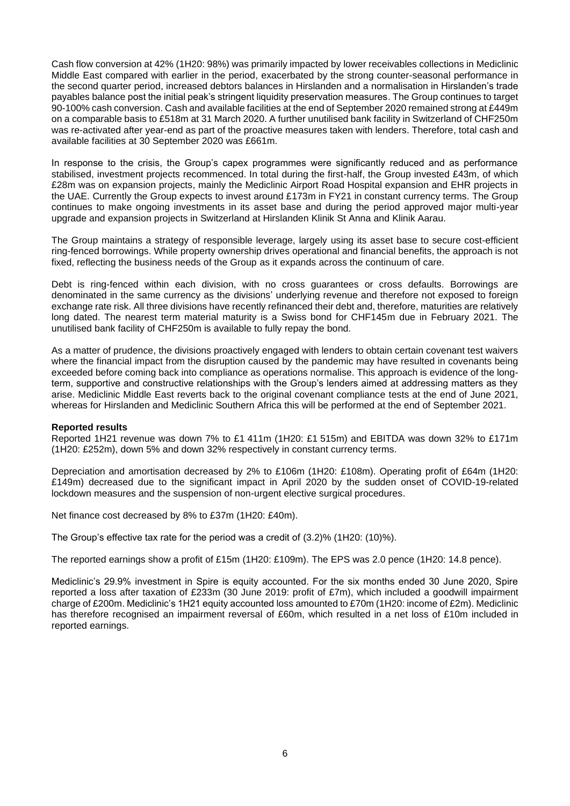Cash flow conversion at 42% (1H20: 98%) was primarily impacted by lower receivables collections in Mediclinic Middle East compared with earlier in the period, exacerbated by the strong counter-seasonal performance in the second quarter period, increased debtors balances in Hirslanden and a normalisation in Hirslanden's trade payables balance post the initial peak's stringent liquidity preservation measures. The Group continues to target 90-100% cash conversion. Cash and available facilities at the end of September 2020 remained strong at £449m on a comparable basis to £518m at 31 March 2020. A further unutilised bank facility in Switzerland of CHF250m was re-activated after year-end as part of the proactive measures taken with lenders. Therefore, total cash and available facilities at 30 September 2020 was £661m.

In response to the crisis, the Group's capex programmes were significantly reduced and as performance stabilised, investment projects recommenced. In total during the first-half, the Group invested £43m, of which £28m was on expansion projects, mainly the Mediclinic Airport Road Hospital expansion and EHR projects in the UAE. Currently the Group expects to invest around £173m in FY21 in constant currency terms. The Group continues to make ongoing investments in its asset base and during the period approved major multi-year upgrade and expansion projects in Switzerland at Hirslanden Klinik St Anna and Klinik Aarau.

The Group maintains a strategy of responsible leverage, largely using its asset base to secure cost-efficient ring-fenced borrowings. While property ownership drives operational and financial benefits, the approach is not fixed, reflecting the business needs of the Group as it expands across the continuum of care.

Debt is ring-fenced within each division, with no cross guarantees or cross defaults. Borrowings are denominated in the same currency as the divisions' underlying revenue and therefore not exposed to foreign exchange rate risk. All three divisions have recently refinanced their debt and, therefore, maturities are relatively long dated. The nearest term material maturity is a Swiss bond for CHF145m due in February 2021. The unutilised bank facility of CHF250m is available to fully repay the bond.

As a matter of prudence, the divisions proactively engaged with lenders to obtain certain covenant test waivers where the financial impact from the disruption caused by the pandemic may have resulted in covenants being exceeded before coming back into compliance as operations normalise. This approach is evidence of the longterm, supportive and constructive relationships with the Group's lenders aimed at addressing matters as they arise. Mediclinic Middle East reverts back to the original covenant compliance tests at the end of June 2021, whereas for Hirslanden and Mediclinic Southern Africa this will be performed at the end of September 2021.

#### **Reported results**

Reported 1H21 revenue was down 7% to £1 411m (1H20: £1 515m) and EBITDA was down 32% to £171m (1H20: £252m), down 5% and down 32% respectively in constant currency terms.

Depreciation and amortisation decreased by 2% to £106m (1H20: £108m). Operating profit of £64m (1H20: £149m) decreased due to the significant impact in April 2020 by the sudden onset of COVID-19-related lockdown measures and the suspension of non-urgent elective surgical procedures.

Net finance cost decreased by 8% to £37m (1H20: £40m).

The Group's effective tax rate for the period was a credit of (3.2)% (1H20: (10)%).

The reported earnings show a profit of £15m (1H20: £109m). The EPS was 2.0 pence (1H20: 14.8 pence).

Mediclinic's 29.9% investment in Spire is equity accounted. For the six months ended 30 June 2020, Spire reported a loss after taxation of £233m (30 June 2019: profit of £7m), which included a goodwill impairment charge of £200m. Mediclinic's 1H21 equity accounted loss amounted to £70m (1H20: income of £2m). Mediclinic has therefore recognised an impairment reversal of £60m, which resulted in a net loss of £10m included in reported earnings.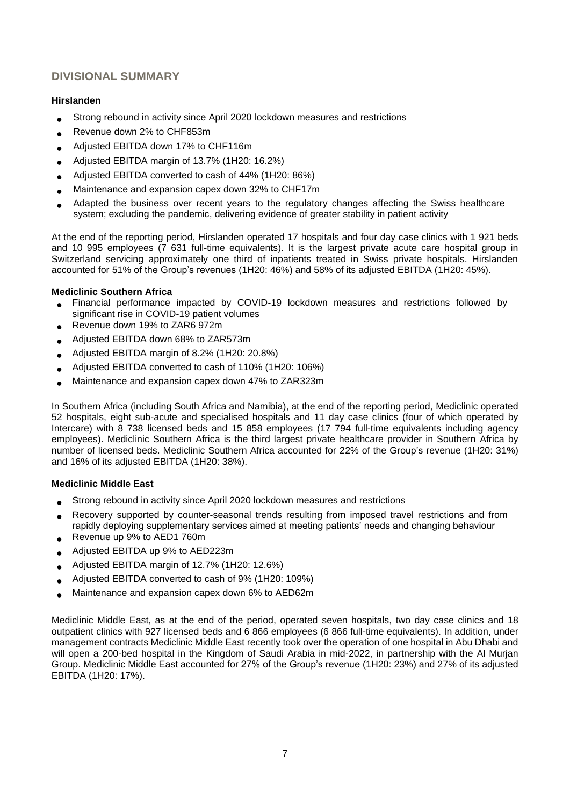## **DIVISIONAL SUMMARY**

#### **Hirslanden**

- Strong rebound in activity since April 2020 lockdown measures and restrictions
- Revenue down 2% to CHF853m
- Adjusted EBITDA down 17% to CHF116m
- Adjusted EBITDA margin of 13.7% (1H20: 16.2%)
- Adjusted EBITDA converted to cash of 44% (1H20: 86%)
- Maintenance and expansion capex down 32% to CHF17m
- Adapted the business over recent years to the regulatory changes affecting the Swiss healthcare system; excluding the pandemic, delivering evidence of greater stability in patient activity

At the end of the reporting period, Hirslanden operated 17 hospitals and four day case clinics with 1 921 beds and 10 995 employees (7 631 full-time equivalents). It is the largest private acute care hospital group in Switzerland servicing approximately one third of inpatients treated in Swiss private hospitals. Hirslanden accounted for 51% of the Group's revenues (1H20: 46%) and 58% of its adjusted EBITDA (1H20: 45%).

#### **Mediclinic Southern Africa**

- Financial performance impacted by COVID-19 lockdown measures and restrictions followed by significant rise in COVID-19 patient volumes
- Revenue down 19% to ZAR6 972m
- Adjusted EBITDA down 68% to ZAR573m
- Adjusted EBITDA margin of 8.2% (1H20: 20.8%)
- Adjusted EBITDA converted to cash of 110% (1H20: 106%)
- Maintenance and expansion capex down 47% to ZAR323m

In Southern Africa (including South Africa and Namibia), at the end of the reporting period, Mediclinic operated 52 hospitals, eight sub-acute and specialised hospitals and 11 day case clinics (four of which operated by Intercare) with 8 738 licensed beds and 15 858 employees (17 794 full-time equivalents including agency employees). Mediclinic Southern Africa is the third largest private healthcare provider in Southern Africa by number of licensed beds. Mediclinic Southern Africa accounted for 22% of the Group's revenue (1H20: 31%) and 16% of its adjusted EBITDA (1H20: 38%).

#### **Mediclinic Middle East**

- Strong rebound in activity since April 2020 lockdown measures and restrictions
- Recovery supported by counter-seasonal trends resulting from imposed travel restrictions and from rapidly deploying supplementary services aimed at meeting patients' needs and changing behaviour • Revenue up 9% to AED1 760m
- Adjusted EBITDA up 9% to AED223m
- Adjusted EBITDA margin of 12.7% (1H20: 12.6%)
- Adjusted EBITDA converted to cash of 9% (1H20: 109%)
- Maintenance and expansion capex down 6% to AED62m

Mediclinic Middle East, as at the end of the period, operated seven hospitals, two day case clinics and 18 outpatient clinics with 927 licensed beds and 6 866 employees (6 866 full-time equivalents). In addition, under management contracts Mediclinic Middle East recently took over the operation of one hospital in Abu Dhabi and will open a 200-bed hospital in the Kingdom of Saudi Arabia in mid-2022, in partnership with the Al Murjan Group. Mediclinic Middle East accounted for 27% of the Group's revenue (1H20: 23%) and 27% of its adjusted EBITDA (1H20: 17%).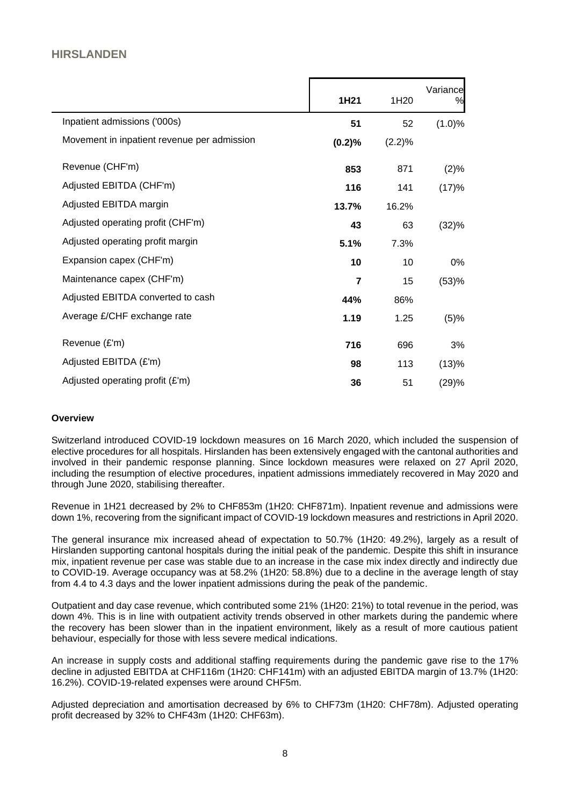## **HIRSLANDEN**

|                                             | 1H21   | 1H20   | Variance<br>% |
|---------------------------------------------|--------|--------|---------------|
| Inpatient admissions ('000s)                | 51     | 52     | (1.0)%        |
| Movement in inpatient revenue per admission | (0.2)% | (2.2)% |               |
| Revenue (CHF'm)                             | 853    | 871    | (2)%          |
| Adjusted EBITDA (CHF'm)                     | 116    | 141    | (17)%         |
| Adjusted EBITDA margin                      | 13.7%  | 16.2%  |               |
| Adjusted operating profit (CHF'm)           | 43     | 63     | (32)%         |
| Adjusted operating profit margin            | 5.1%   | 7.3%   |               |
| Expansion capex (CHF'm)                     | 10     | 10     | 0%            |
| Maintenance capex (CHF'm)                   | 7      | 15     | (53)%         |
| Adjusted EBITDA converted to cash           | 44%    | 86%    |               |
| Average £/CHF exchange rate                 | 1.19   | 1.25   | (5)%          |
| Revenue (£'m)                               | 716    | 696    | 3%            |
| Adjusted EBITDA (£'m)                       | 98     | 113    | (13)%         |
| Adjusted operating profit (£'m)             | 36     | 51     | (29)%         |

#### **Overview**

Switzerland introduced COVID-19 lockdown measures on 16 March 2020, which included the suspension of elective procedures for all hospitals. Hirslanden has been extensively engaged with the cantonal authorities and involved in their pandemic response planning. Since lockdown measures were relaxed on 27 April 2020, including the resumption of elective procedures, inpatient admissions immediately recovered in May 2020 and through June 2020, stabilising thereafter.

Revenue in 1H21 decreased by 2% to CHF853m (1H20: CHF871m). Inpatient revenue and admissions were down 1%, recovering from the significant impact of COVID-19 lockdown measures and restrictions in April 2020.

The general insurance mix increased ahead of expectation to 50.7% (1H20: 49.2%), largely as a result of Hirslanden supporting cantonal hospitals during the initial peak of the pandemic. Despite this shift in insurance mix, inpatient revenue per case was stable due to an increase in the case mix index directly and indirectly due to COVID-19. Average occupancy was at 58.2% (1H20: 58.8%) due to a decline in the average length of stay from 4.4 to 4.3 days and the lower inpatient admissions during the peak of the pandemic.

Outpatient and day case revenue, which contributed some 21% (1H20: 21%) to total revenue in the period, was down 4%. This is in line with outpatient activity trends observed in other markets during the pandemic where the recovery has been slower than in the inpatient environment, likely as a result of more cautious patient behaviour, especially for those with less severe medical indications.

An increase in supply costs and additional staffing requirements during the pandemic gave rise to the 17% decline in adjusted EBITDA at CHF116m (1H20: CHF141m) with an adjusted EBITDA margin of 13.7% (1H20: 16.2%). COVID-19-related expenses were around CHF5m.

Adjusted depreciation and amortisation decreased by 6% to CHF73m (1H20: CHF78m). Adjusted operating profit decreased by 32% to CHF43m (1H20: CHF63m).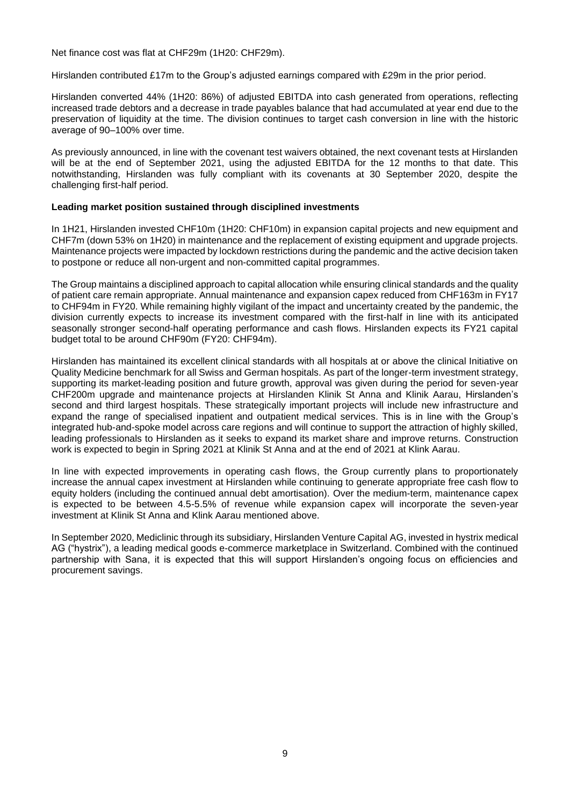Net finance cost was flat at CHF29m (1H20: CHF29m).

Hirslanden contributed £17m to the Group's adjusted earnings compared with £29m in the prior period.

Hirslanden converted 44% (1H20: 86%) of adjusted EBITDA into cash generated from operations, reflecting increased trade debtors and a decrease in trade payables balance that had accumulated at year end due to the preservation of liquidity at the time. The division continues to target cash conversion in line with the historic average of 90–100% over time.

As previously announced, in line with the covenant test waivers obtained, the next covenant tests at Hirslanden will be at the end of September 2021, using the adjusted EBITDA for the 12 months to that date. This notwithstanding, Hirslanden was fully compliant with its covenants at 30 September 2020, despite the challenging first-half period.

#### **Leading market position sustained through disciplined investments**

In 1H21, Hirslanden invested CHF10m (1H20: CHF10m) in expansion capital projects and new equipment and CHF7m (down 53% on 1H20) in maintenance and the replacement of existing equipment and upgrade projects. Maintenance projects were impacted by lockdown restrictions during the pandemic and the active decision taken to postpone or reduce all non-urgent and non-committed capital programmes.

The Group maintains a disciplined approach to capital allocation while ensuring clinical standards and the quality of patient care remain appropriate. Annual maintenance and expansion capex reduced from CHF163m in FY17 to CHF94m in FY20. While remaining highly vigilant of the impact and uncertainty created by the pandemic, the division currently expects to increase its investment compared with the first-half in line with its anticipated seasonally stronger second-half operating performance and cash flows. Hirslanden expects its FY21 capital budget total to be around CHF90m (FY20: CHF94m).

Hirslanden has maintained its excellent clinical standards with all hospitals at or above the clinical Initiative on Quality Medicine benchmark for all Swiss and German hospitals. As part of the longer-term investment strategy, supporting its market-leading position and future growth, approval was given during the period for seven-year CHF200m upgrade and maintenance projects at Hirslanden Klinik St Anna and Klinik Aarau, Hirslanden's second and third largest hospitals. These strategically important projects will include new infrastructure and expand the range of specialised inpatient and outpatient medical services. This is in line with the Group's integrated hub-and-spoke model across care regions and will continue to support the attraction of highly skilled, leading professionals to Hirslanden as it seeks to expand its market share and improve returns. Construction work is expected to begin in Spring 2021 at Klinik St Anna and at the end of 2021 at Klink Aarau.

In line with expected improvements in operating cash flows, the Group currently plans to proportionately increase the annual capex investment at Hirslanden while continuing to generate appropriate free cash flow to equity holders (including the continued annual debt amortisation). Over the medium-term, maintenance capex is expected to be between 4.5-5.5% of revenue while expansion capex will incorporate the seven-year investment at Klinik St Anna and Klink Aarau mentioned above.

In September 2020, Mediclinic through its subsidiary, Hirslanden Venture Capital AG, invested in hystrix medical AG ("hystrix"), a leading medical goods e-commerce marketplace in Switzerland. Combined with the continued partnership with Sana, it is expected that this will support Hirslanden's ongoing focus on efficiencies and procurement savings.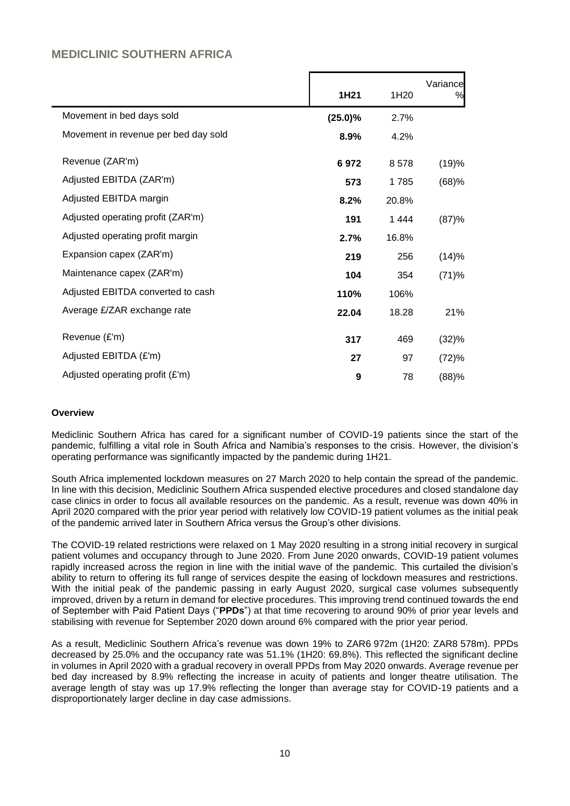## **MEDICLINIC SOUTHERN AFRICA**

|                                      | 1H21       | 1H20  | Variance<br>% |
|--------------------------------------|------------|-------|---------------|
| Movement in bed days sold            | $(25.0)\%$ | 2.7%  |               |
| Movement in revenue per bed day sold | 8.9%       | 4.2%  |               |
| Revenue (ZAR'm)                      | 6972       | 8578  | (19)%         |
| Adjusted EBITDA (ZAR'm)              | 573        | 1785  | (68)%         |
| Adjusted EBITDA margin               | 8.2%       | 20.8% |               |
| Adjusted operating profit (ZAR'm)    | 191        | 1444  | (87)%         |
| Adjusted operating profit margin     | 2.7%       | 16.8% |               |
| Expansion capex (ZAR'm)              | 219        | 256   | (14)%         |
| Maintenance capex (ZAR'm)            | 104        | 354   | (71)%         |
| Adjusted EBITDA converted to cash    | 110%       | 106%  |               |
| Average £/ZAR exchange rate          | 22.04      | 18.28 | 21%           |
| Revenue (£'m)                        | 317        | 469   | (32)%         |
| Adjusted EBITDA (£'m)                | 27         | 97    | (72)%         |
| Adjusted operating profit (£'m)      | 9          | 78    | (88)%         |

#### **Overview**

Mediclinic Southern Africa has cared for a significant number of COVID-19 patients since the start of the pandemic, fulfilling a vital role in South Africa and Namibia's responses to the crisis. However, the division's operating performance was significantly impacted by the pandemic during 1H21.

South Africa implemented lockdown measures on 27 March 2020 to help contain the spread of the pandemic. In line with this decision, Mediclinic Southern Africa suspended elective procedures and closed standalone day case clinics in order to focus all available resources on the pandemic. As a result, revenue was down 40% in April 2020 compared with the prior year period with relatively low COVID-19 patient volumes as the initial peak of the pandemic arrived later in Southern Africa versus the Group's other divisions.

The COVID-19 related restrictions were relaxed on 1 May 2020 resulting in a strong initial recovery in surgical patient volumes and occupancy through to June 2020. From June 2020 onwards, COVID-19 patient volumes rapidly increased across the region in line with the initial wave of the pandemic. This curtailed the division's ability to return to offering its full range of services despite the easing of lockdown measures and restrictions. With the initial peak of the pandemic passing in early August 2020, surgical case volumes subsequently improved, driven by a return in demand for elective procedures. This improving trend continued towards the end of September with Paid Patient Days ("**PPDs**") at that time recovering to around 90% of prior year levels and stabilising with revenue for September 2020 down around 6% compared with the prior year period.

As a result, Mediclinic Southern Africa's revenue was down 19% to ZAR6 972m (1H20: ZAR8 578m). PPDs decreased by 25.0% and the occupancy rate was 51.1% (1H20: 69.8%). This reflected the significant decline in volumes in April 2020 with a gradual recovery in overall PPDs from May 2020 onwards. Average revenue per bed day increased by 8.9% reflecting the increase in acuity of patients and longer theatre utilisation. The average length of stay was up 17.9% reflecting the longer than average stay for COVID-19 patients and a disproportionately larger decline in day case admissions.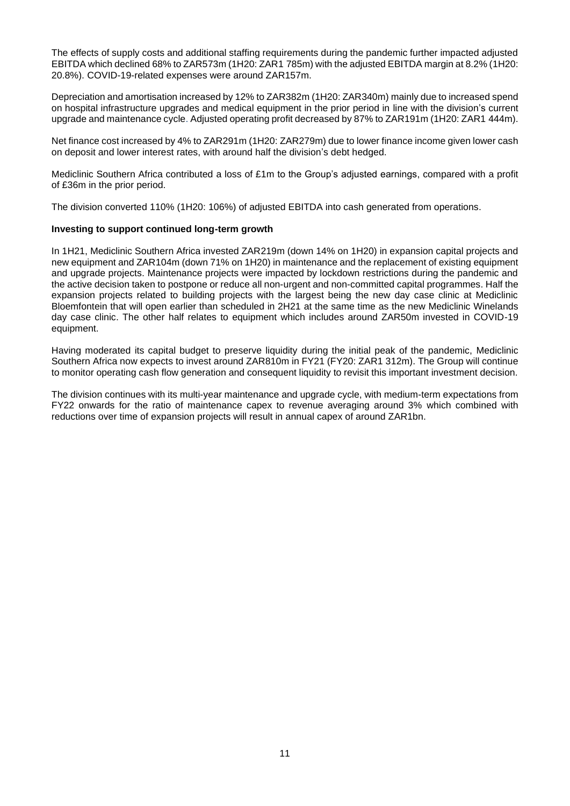The effects of supply costs and additional staffing requirements during the pandemic further impacted adjusted EBITDA which declined 68% to ZAR573m (1H20: ZAR1 785m) with the adjusted EBITDA margin at 8.2% (1H20: 20.8%). COVID-19-related expenses were around ZAR157m.

Depreciation and amortisation increased by 12% to ZAR382m (1H20: ZAR340m) mainly due to increased spend on hospital infrastructure upgrades and medical equipment in the prior period in line with the division's current upgrade and maintenance cycle. Adjusted operating profit decreased by 87% to ZAR191m (1H20: ZAR1 444m).

Net finance cost increased by 4% to ZAR291m (1H20: ZAR279m) due to lower finance income given lower cash on deposit and lower interest rates, with around half the division's debt hedged.

Mediclinic Southern Africa contributed a loss of £1m to the Group's adjusted earnings, compared with a profit of £36m in the prior period.

The division converted 110% (1H20: 106%) of adjusted EBITDA into cash generated from operations.

#### **Investing to support continued long-term growth**

In 1H21, Mediclinic Southern Africa invested ZAR219m (down 14% on 1H20) in expansion capital projects and new equipment and ZAR104m (down 71% on 1H20) in maintenance and the replacement of existing equipment and upgrade projects. Maintenance projects were impacted by lockdown restrictions during the pandemic and the active decision taken to postpone or reduce all non-urgent and non-committed capital programmes. Half the expansion projects related to building projects with the largest being the new day case clinic at Mediclinic Bloemfontein that will open earlier than scheduled in 2H21 at the same time as the new Mediclinic Winelands day case clinic. The other half relates to equipment which includes around ZAR50m invested in COVID-19 equipment.

Having moderated its capital budget to preserve liquidity during the initial peak of the pandemic, Mediclinic Southern Africa now expects to invest around ZAR810m in FY21 (FY20: ZAR1 312m). The Group will continue to monitor operating cash flow generation and consequent liquidity to revisit this important investment decision.

The division continues with its multi-year maintenance and upgrade cycle, with medium-term expectations from FY22 onwards for the ratio of maintenance capex to revenue averaging around 3% which combined with reductions over time of expansion projects will result in annual capex of around ZAR1bn.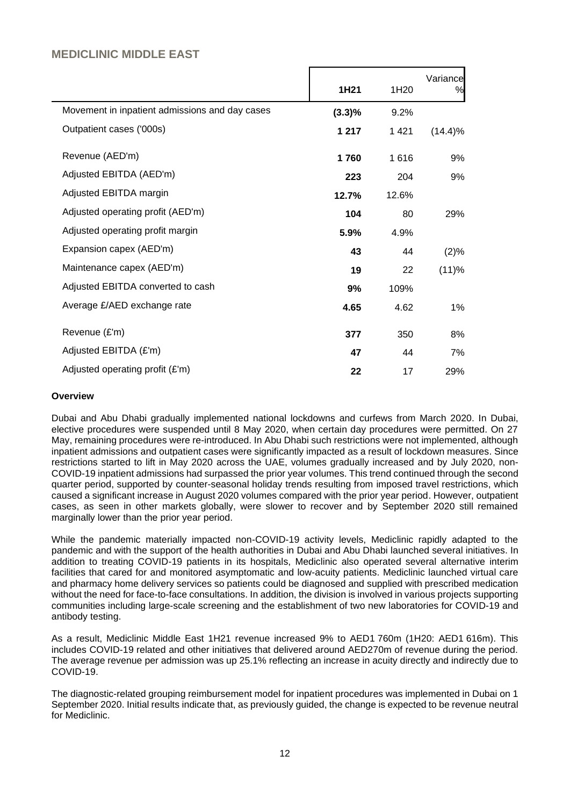## **MEDICLINIC MIDDLE EAST**

|                                                |           |         | Variance   |
|------------------------------------------------|-----------|---------|------------|
|                                                | 1H21      | 1H20    | %          |
| Movement in inpatient admissions and day cases | $(3.3)\%$ | 9.2%    |            |
| Outpatient cases ('000s)                       | 1 2 1 7   | 1 4 2 1 | $(14.4)\%$ |
| Revenue (AED'm)                                | 1760      | 1616    | 9%         |
| Adjusted EBITDA (AED'm)                        | 223       | 204     | 9%         |
| Adjusted EBITDA margin                         | 12.7%     | 12.6%   |            |
| Adjusted operating profit (AED'm)              | 104       | 80      | 29%        |
| Adjusted operating profit margin               | 5.9%      | 4.9%    |            |
| Expansion capex (AED'm)                        | 43        | 44      | (2)%       |
| Maintenance capex (AED'm)                      | 19        | 22      | (11)%      |
| Adjusted EBITDA converted to cash              | 9%        | 109%    |            |
| Average £/AED exchange rate                    | 4.65      | 4.62    | 1%         |
| Revenue (£'m)                                  |           |         |            |
|                                                | 377       | 350     | 8%         |
| Adjusted EBITDA (£'m)                          | 47        | 44      | 7%         |
| Adjusted operating profit (£'m)                | 22        | 17      | 29%        |

#### **Overview**

Dubai and Abu Dhabi gradually implemented national lockdowns and curfews from March 2020. In Dubai, elective procedures were suspended until 8 May 2020, when certain day procedures were permitted. On 27 May, remaining procedures were re-introduced. In Abu Dhabi such restrictions were not implemented, although inpatient admissions and outpatient cases were significantly impacted as a result of lockdown measures. Since restrictions started to lift in May 2020 across the UAE, volumes gradually increased and by July 2020, non-COVID-19 inpatient admissions had surpassed the prior year volumes. This trend continued through the second quarter period, supported by counter-seasonal holiday trends resulting from imposed travel restrictions, which caused a significant increase in August 2020 volumes compared with the prior year period. However, outpatient cases, as seen in other markets globally, were slower to recover and by September 2020 still remained marginally lower than the prior year period.

While the pandemic materially impacted non-COVID-19 activity levels, Mediclinic rapidly adapted to the pandemic and with the support of the health authorities in Dubai and Abu Dhabi launched several initiatives. In addition to treating COVID-19 patients in its hospitals, Mediclinic also operated several alternative interim facilities that cared for and monitored asymptomatic and low-acuity patients. Mediclinic launched virtual care and pharmacy home delivery services so patients could be diagnosed and supplied with prescribed medication without the need for face-to-face consultations. In addition, the division is involved in various projects supporting communities including large-scale screening and the establishment of two new laboratories for COVID-19 and antibody testing.

As a result, Mediclinic Middle East 1H21 revenue increased 9% to AED1 760m (1H20: AED1 616m). This includes COVID-19 related and other initiatives that delivered around AED270m of revenue during the period. The average revenue per admission was up 25.1% reflecting an increase in acuity directly and indirectly due to COVID-19.

The diagnostic-related grouping reimbursement model for inpatient procedures was implemented in Dubai on 1 September 2020. Initial results indicate that, as previously guided, the change is expected to be revenue neutral for Mediclinic.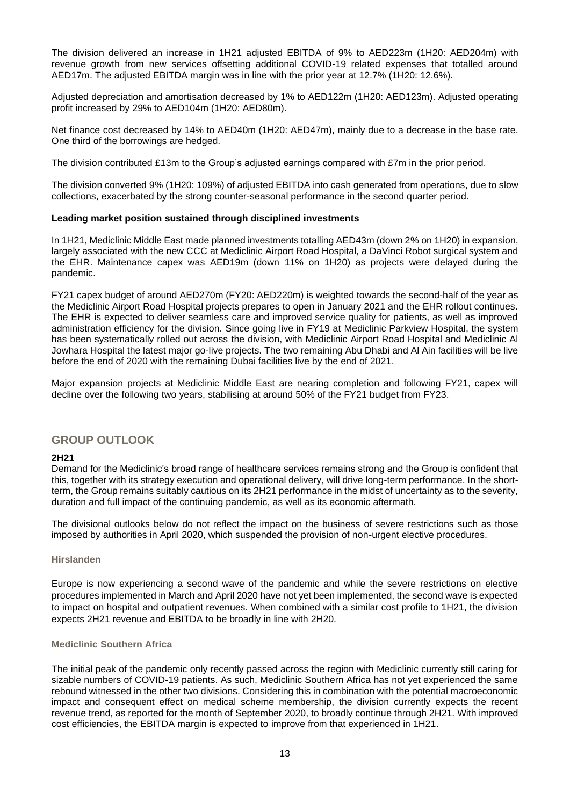The division delivered an increase in 1H21 adjusted EBITDA of 9% to AED223m (1H20: AED204m) with revenue growth from new services offsetting additional COVID-19 related expenses that totalled around AED17m. The adjusted EBITDA margin was in line with the prior year at 12.7% (1H20: 12.6%).

Adjusted depreciation and amortisation decreased by 1% to AED122m (1H20: AED123m). Adjusted operating profit increased by 29% to AED104m (1H20: AED80m).

Net finance cost decreased by 14% to AED40m (1H20: AED47m), mainly due to a decrease in the base rate. One third of the borrowings are hedged.

The division contributed £13m to the Group's adjusted earnings compared with £7m in the prior period.

The division converted 9% (1H20: 109%) of adjusted EBITDA into cash generated from operations, due to slow collections, exacerbated by the strong counter-seasonal performance in the second quarter period.

#### **Leading market position sustained through disciplined investments**

In 1H21, Mediclinic Middle East made planned investments totalling AED43m (down 2% on 1H20) in expansion, largely associated with the new CCC at Mediclinic Airport Road Hospital, a DaVinci Robot surgical system and the EHR. Maintenance capex was AED19m (down 11% on 1H20) as projects were delayed during the pandemic.

FY21 capex budget of around AED270m (FY20: AED220m) is weighted towards the second-half of the year as the Mediclinic Airport Road Hospital projects prepares to open in January 2021 and the EHR rollout continues. The EHR is expected to deliver seamless care and improved service quality for patients, as well as improved administration efficiency for the division. Since going live in FY19 at Mediclinic Parkview Hospital, the system has been systematically rolled out across the division, with Mediclinic Airport Road Hospital and Mediclinic Al Jowhara Hospital the latest major go-live projects. The two remaining Abu Dhabi and Al Ain facilities will be live before the end of 2020 with the remaining Dubai facilities live by the end of 2021.

Major expansion projects at Mediclinic Middle East are nearing completion and following FY21, capex will decline over the following two years, stabilising at around 50% of the FY21 budget from FY23.

#### **GROUP OUTLOOK**

#### **2H21**

Demand for the Mediclinic's broad range of healthcare services remains strong and the Group is confident that this, together with its strategy execution and operational delivery, will drive long-term performance. In the shortterm, the Group remains suitably cautious on its 2H21 performance in the midst of uncertainty as to the severity, duration and full impact of the continuing pandemic, as well as its economic aftermath.

The divisional outlooks below do not reflect the impact on the business of severe restrictions such as those imposed by authorities in April 2020, which suspended the provision of non-urgent elective procedures.

#### **Hirslanden**

Europe is now experiencing a second wave of the pandemic and while the severe restrictions on elective procedures implemented in March and April 2020 have not yet been implemented, the second wave is expected to impact on hospital and outpatient revenues. When combined with a similar cost profile to 1H21, the division expects 2H21 revenue and EBITDA to be broadly in line with 2H20.

#### **Mediclinic Southern Africa**

The initial peak of the pandemic only recently passed across the region with Mediclinic currently still caring for sizable numbers of COVID-19 patients. As such, Mediclinic Southern Africa has not yet experienced the same rebound witnessed in the other two divisions. Considering this in combination with the potential macroeconomic impact and consequent effect on medical scheme membership, the division currently expects the recent revenue trend, as reported for the month of September 2020, to broadly continue through 2H21. With improved cost efficiencies, the EBITDA margin is expected to improve from that experienced in 1H21.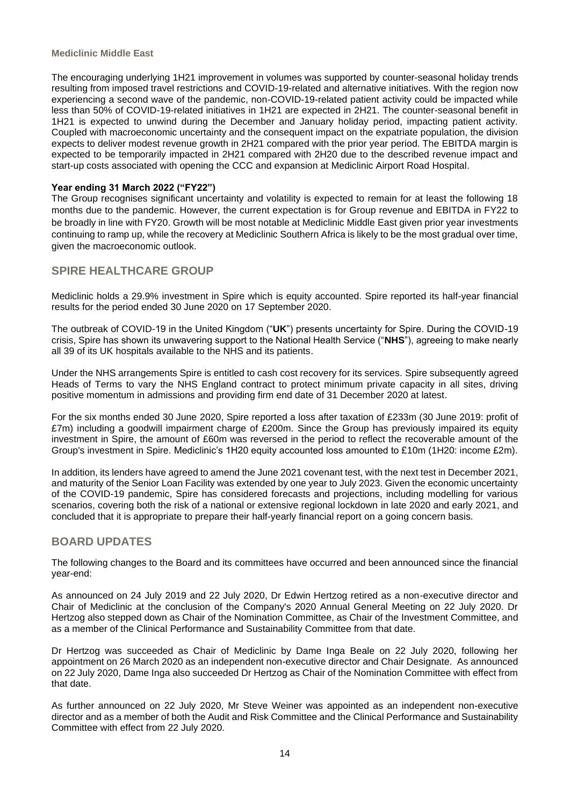#### **Mediclinic Middle East**

The encouraging underlying 1H21 improvement in volumes was supported by counter-seasonal holiday trends resulting from imposed travel restrictions and COVID-19-related and alternative initiatives. With the region now experiencing a second wave of the pandemic, non-COVID-19-related patient activity could be impacted while less than 50% of COVID-19-related initiatives in 1H21 are expected in 2H21. The counter-seasonal benefit in 1H21 is expected to unwind during the December and January holiday period, impacting patient activity. Coupled with macroeconomic uncertainty and the consequent impact on the expatriate population, the division expects to deliver modest revenue growth in 2H21 compared with the prior year period. The EBITDA margin is expected to be temporarily impacted in 2H21 compared with 2H20 due to the described revenue impact and start-up costs associated with opening the CCC and expansion at Mediclinic Airport Road Hospital.

#### **Year ending 31 March 2022 ("FY22")**

The Group recognises significant uncertainty and volatility is expected to remain for at least the following 18 months due to the pandemic. However, the current expectation is for Group revenue and EBITDA in FY22 to be broadly in line with FY20. Growth will be most notable at Mediclinic Middle East given prior year investments continuing to ramp up, while the recovery at Mediclinic Southern Africa is likely to be the most gradual over time, given the macroeconomic outlook.

## **SPIRE HEALTHCARE GROUP**

Mediclinic holds a 29.9% investment in Spire which is equity accounted. Spire reported its half-year financial results for the period ended 30 June 2020 on 17 September 2020.

The outbreak of COVID-19 in the United Kingdom ("**UK**") presents uncertainty for Spire. During the COVID-19 crisis, Spire has shown its unwavering support to the National Health Service ("**NHS**"), agreeing to make nearly all 39 of its UK hospitals available to the NHS and its patients.

Under the NHS arrangements Spire is entitled to cash cost recovery for its services. Spire subsequently agreed Heads of Terms to vary the NHS England contract to protect minimum private capacity in all sites, driving positive momentum in admissions and providing firm end date of 31 December 2020 at latest.

For the six months ended 30 June 2020, Spire reported a loss after taxation of £233m (30 June 2019: profit of £7m) including a goodwill impairment charge of £200m. Since the Group has previously impaired its equity investment in Spire, the amount of £60m was reversed in the period to reflect the recoverable amount of the Group's investment in Spire. Mediclinic's 1H20 equity accounted loss amounted to £10m (1H20: income £2m).

In addition, its lenders have agreed to amend the June 2021 covenant test, with the next test in December 2021, and maturity of the Senior Loan Facility was extended by one year to July 2023. Given the economic uncertainty of the COVID-19 pandemic, Spire has considered forecasts and projections, including modelling for various scenarios, covering both the risk of a national or extensive regional lockdown in late 2020 and early 2021, and concluded that it is appropriate to prepare their half-yearly financial report on a going concern basis.

## **BOARD UPDATES**

The following changes to the Board and its committees have occurred and been announced since the financial year-end:

As announced on 24 July 2019 and 22 July 2020, Dr Edwin Hertzog retired as a non-executive director and Chair of Mediclinic at the conclusion of the Company's 2020 Annual General Meeting on 22 July 2020. Dr Hertzog also stepped down as Chair of the Nomination Committee, as Chair of the Investment Committee, and as a member of the Clinical Performance and Sustainability Committee from that date.

Dr Hertzog was succeeded as Chair of Mediclinic by Dame Inga Beale on 22 July 2020, following her appointment on 26 March 2020 as an independent non-executive director and Chair Designate. As announced on 22 July 2020, Dame Inga also succeeded Dr Hertzog as Chair of the Nomination Committee with effect from that date.

As further announced on 22 July 2020, Mr Steve Weiner was appointed as an independent non-executive director and as a member of both the Audit and Risk Committee and the Clinical Performance and Sustainability Committee with effect from 22 July 2020.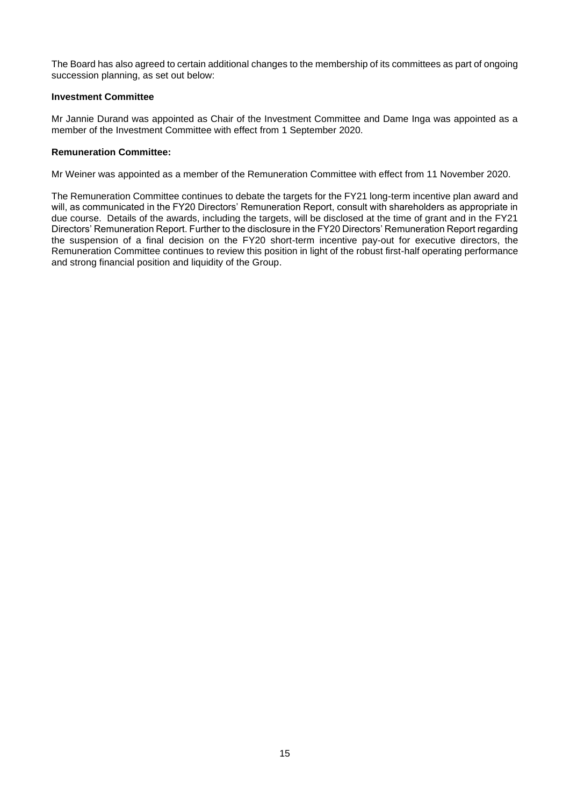The Board has also agreed to certain additional changes to the membership of its committees as part of ongoing succession planning, as set out below:

#### **Investment Committee**

Mr Jannie Durand was appointed as Chair of the Investment Committee and Dame Inga was appointed as a member of the Investment Committee with effect from 1 September 2020.

#### **Remuneration Committee:**

Mr Weiner was appointed as a member of the Remuneration Committee with effect from 11 November 2020.

The Remuneration Committee continues to debate the targets for the FY21 long-term incentive plan award and will, as communicated in the FY20 Directors' Remuneration Report, consult with shareholders as appropriate in due course. Details of the awards, including the targets, will be disclosed at the time of grant and in the FY21 Directors' Remuneration Report. Further to the disclosure in the FY20 Directors' Remuneration Report regarding the suspension of a final decision on the FY20 short-term incentive pay-out for executive directors, the Remuneration Committee continues to review this position in light of the robust first-half operating performance and strong financial position and liquidity of the Group.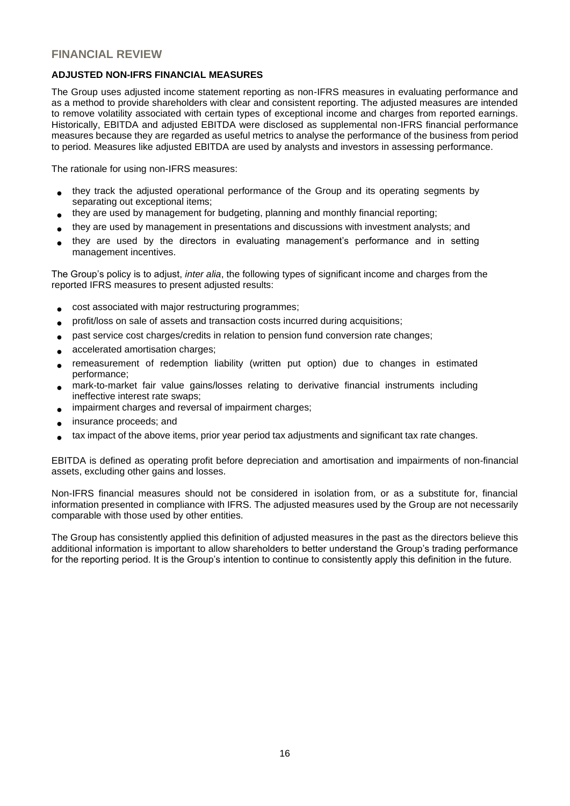## **FINANCIAL REVIEW**

#### **ADJUSTED NON-IFRS FINANCIAL MEASURES**

The Group uses adjusted income statement reporting as non-IFRS measures in evaluating performance and as a method to provide shareholders with clear and consistent reporting. The adjusted measures are intended to remove volatility associated with certain types of exceptional income and charges from reported earnings. Historically, EBITDA and adjusted EBITDA were disclosed as supplemental non-IFRS financial performance measures because they are regarded as useful metrics to analyse the performance of the business from period to period. Measures like adjusted EBITDA are used by analysts and investors in assessing performance.

The rationale for using non-IFRS measures:

- they track the adjusted operational performance of the Group and its operating segments by separating out exceptional items;
- they are used by management for budgeting, planning and monthly financial reporting;
- they are used by management in presentations and discussions with investment analysts; and
- they are used by the directors in evaluating management's performance and in setting management incentives.

The Group's policy is to adjust, *inter alia*, the following types of significant income and charges from the reported IFRS measures to present adjusted results:

- cost associated with major restructuring programmes;
- profit/loss on sale of assets and transaction costs incurred during acquisitions;
- past service cost charges/credits in relation to pension fund conversion rate changes;
- accelerated amortisation charges;
- remeasurement of redemption liability (written put option) due to changes in estimated performance;
- mark-to-market fair value gains/losses relating to derivative financial instruments including ineffective interest rate swaps;
- impairment charges and reversal of impairment charges;
- insurance proceeds; and
- tax impact of the above items, prior year period tax adjustments and significant tax rate changes.

EBITDA is defined as operating profit before depreciation and amortisation and impairments of non-financial assets, excluding other gains and losses.

Non-IFRS financial measures should not be considered in isolation from, or as a substitute for, financial information presented in compliance with IFRS. The adjusted measures used by the Group are not necessarily comparable with those used by other entities.

The Group has consistently applied this definition of adjusted measures in the past as the directors believe this additional information is important to allow shareholders to better understand the Group's trading performance for the reporting period. It is the Group's intention to continue to consistently apply this definition in the future.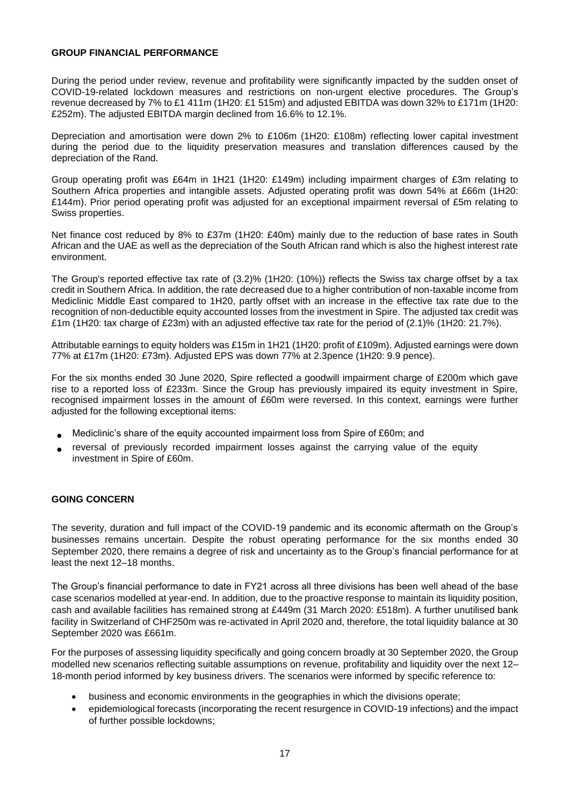#### **GROUP FINANCIAL PERFORMANCE**

During the period under review, revenue and profitability were significantly impacted by the sudden onset of COVID-19-related lockdown measures and restrictions on non-urgent elective procedures. The Group's revenue decreased by 7% to £1 411m (1H20: £1 515m) and adjusted EBITDA was down 32% to £171m (1H20: £252m). The adjusted EBITDA margin declined from 16.6% to 12.1%.

Depreciation and amortisation were down 2% to £106m (1H20: £108m) reflecting lower capital investment during the period due to the liquidity preservation measures and translation differences caused by the depreciation of the Rand.

Group operating profit was £64m in 1H21 (1H20: £149m) including impairment charges of £3m relating to Southern Africa properties and intangible assets. Adjusted operating profit was down 54% at £66m (1H20: £144m). Prior period operating profit was adjusted for an exceptional impairment reversal of £5m relating to Swiss properties.

Net finance cost reduced by 8% to £37m (1H20: £40m) mainly due to the reduction of base rates in South African and the UAE as well as the depreciation of the South African rand which is also the highest interest rate environment.

The Group's reported effective tax rate of (3.2)% (1H20: (10%)) reflects the Swiss tax charge offset by a tax credit in Southern Africa. In addition, the rate decreased due to a higher contribution of non-taxable income from Mediclinic Middle East compared to 1H20, partly offset with an increase in the effective tax rate due to the recognition of non-deductible equity accounted losses from the investment in Spire. The adjusted tax credit was £1m (1H20: tax charge of £23m) with an adjusted effective tax rate for the period of (2.1)% (1H20: 21.7%).

Attributable earnings to equity holders was £15m in 1H21 (1H20: profit of £109m). Adjusted earnings were down 77% at £17m (1H20: £73m). Adjusted EPS was down 77% at 2.3pence (1H20: 9.9 pence).

For the six months ended 30 June 2020, Spire reflected a goodwill impairment charge of £200m which gave rise to a reported loss of £233m. Since the Group has previously impaired its equity investment in Spire, recognised impairment losses in the amount of £60m were reversed. In this context, earnings were further adjusted for the following exceptional items:

- Mediclinic's share of the equity accounted impairment loss from Spire of £60m; and
- reversal of previously recorded impairment losses against the carrying value of the equity investment in Spire of £60m.

## **GOING CONCERN**

The severity, duration and full impact of the COVID-19 pandemic and its economic aftermath on the Group's businesses remains uncertain. Despite the robust operating performance for the six months ended 30 September 2020, there remains a degree of risk and uncertainty as to the Group's financial performance for at least the next 12–18 months.

The Group's financial performance to date in FY21 across all three divisions has been well ahead of the base case scenarios modelled at year-end. In addition, due to the proactive response to maintain its liquidity position, cash and available facilities has remained strong at £449m (31 March 2020: £518m). A further unutilised bank facility in Switzerland of CHF250m was re-activated in April 2020 and, therefore, the total liquidity balance at 30 September 2020 was £661m.

For the purposes of assessing liquidity specifically and going concern broadly at 30 September 2020, the Group modelled new scenarios reflecting suitable assumptions on revenue, profitability and liquidity over the next 12– 18-month period informed by key business drivers. The scenarios were informed by specific reference to:

- business and economic environments in the geographies in which the divisions operate;
- epidemiological forecasts (incorporating the recent resurgence in COVID-19 infections) and the impact of further possible lockdowns;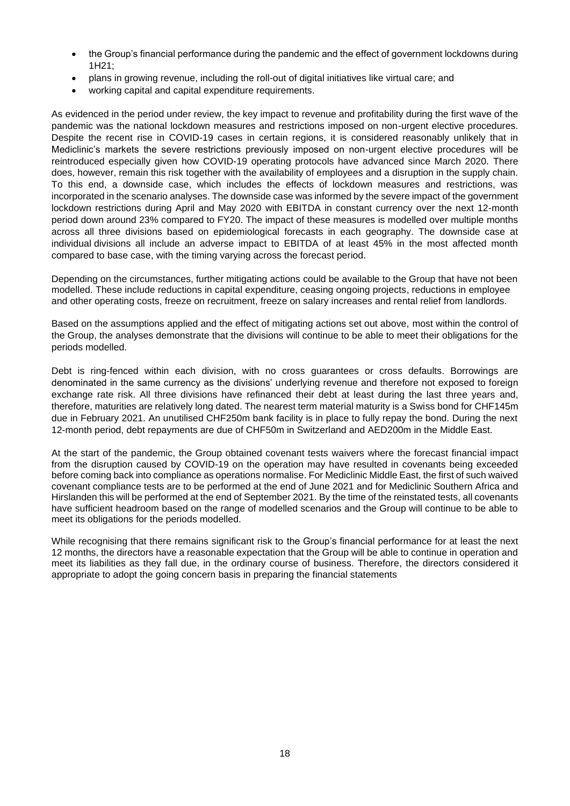- the Group's financial performance during the pandemic and the effect of government lockdowns during 1H21;
- plans in growing revenue, including the roll-out of digital initiatives like virtual care; and
- working capital and capital expenditure requirements.

As evidenced in the period under review, the key impact to revenue and profitability during the first wave of the pandemic was the national lockdown measures and restrictions imposed on non-urgent elective procedures. Despite the recent rise in COVID-19 cases in certain regions, it is considered reasonably unlikely that in Mediclinic's markets the severe restrictions previously imposed on non-urgent elective procedures will be reintroduced especially given how COVID-19 operating protocols have advanced since March 2020. There does, however, remain this risk together with the availability of employees and a disruption in the supply chain. To this end, a downside case, which includes the effects of lockdown measures and restrictions, was incorporated in the scenario analyses. The downside case was informed by the severe impact of the government lockdown restrictions during April and May 2020 with EBITDA in constant currency over the next 12-month period down around 23% compared to FY20. The impact of these measures is modelled over multiple months across all three divisions based on epidemiological forecasts in each geography. The downside case at individual divisions all include an adverse impact to EBITDA of at least 45% in the most affected month compared to base case, with the timing varying across the forecast period.

Depending on the circumstances, further mitigating actions could be available to the Group that have not been modelled. These include reductions in capital expenditure, ceasing ongoing projects, reductions in employee and other operating costs, freeze on recruitment, freeze on salary increases and rental relief from landlords.

Based on the assumptions applied and the effect of mitigating actions set out above, most within the control of the Group, the analyses demonstrate that the divisions will continue to be able to meet their obligations for the periods modelled.

Debt is ring-fenced within each division, with no cross guarantees or cross defaults. Borrowings are denominated in the same currency as the divisions' underlying revenue and therefore not exposed to foreign exchange rate risk. All three divisions have refinanced their debt at least during the last three years and, therefore, maturities are relatively long dated. The nearest term material maturity is a Swiss bond for CHF145m due in February 2021. An unutilised CHF250m bank facility is in place to fully repay the bond. During the next 12-month period, debt repayments are due of CHF50m in Switzerland and AED200m in the Middle East.

At the start of the pandemic, the Group obtained covenant tests waivers where the forecast financial impact from the disruption caused by COVID-19 on the operation may have resulted in covenants being exceeded before coming back into compliance as operations normalise. For Mediclinic Middle East, the first of such waived covenant compliance tests are to be performed at the end of June 2021 and for Mediclinic Southern Africa and Hirslanden this will be performed at the end of September 2021. By the time of the reinstated tests, all covenants have sufficient headroom based on the range of modelled scenarios and the Group will continue to be able to meet its obligations for the periods modelled.

While recognising that there remains significant risk to the Group's financial performance for at least the next 12 months, the directors have a reasonable expectation that the Group will be able to continue in operation and meet its liabilities as they fall due, in the ordinary course of business. Therefore, the directors considered it appropriate to adopt the going concern basis in preparing the financial statements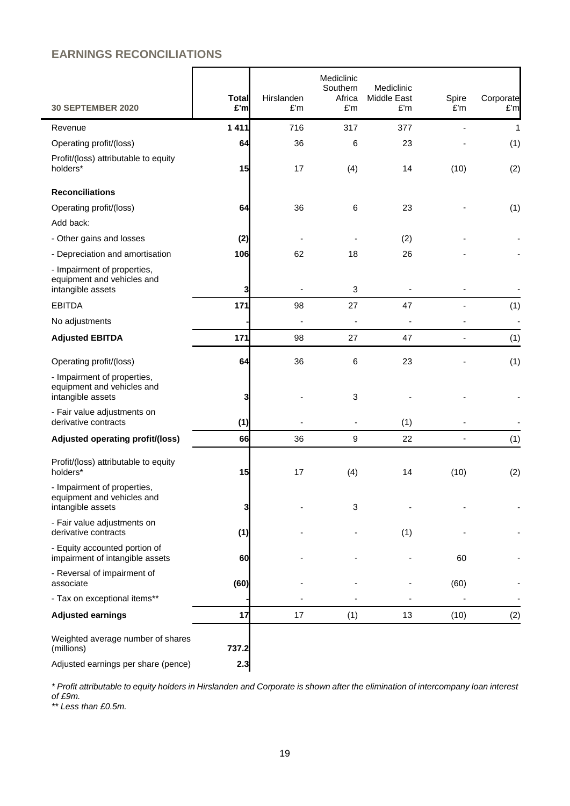## **EARNINGS RECONCILIATIONS**

| <b>30 SEPTEMBER 2020</b>                                                       | <b>Total</b><br>£'m | Hirslanden<br>E'm | Mediclinic<br>Southern<br>Africa<br>£'m | Mediclinic<br>Middle East<br>£'m | Spire<br>£'m   | Corporate<br>£'m |
|--------------------------------------------------------------------------------|---------------------|-------------------|-----------------------------------------|----------------------------------|----------------|------------------|
| Revenue                                                                        | 1 4 1 1             | 716               | 317                                     | 377                              |                | 1                |
| Operating profit/(loss)                                                        | 64                  | 36                | 6                                       | 23                               |                | (1)              |
| Profit/(loss) attributable to equity<br>holders*                               | 15                  | 17                | (4)                                     | 14                               | (10)           | (2)              |
| <b>Reconciliations</b>                                                         |                     |                   |                                         |                                  |                |                  |
| Operating profit/(loss)                                                        | 64                  | 36                | $\,6$                                   | 23                               |                | (1)              |
| Add back:                                                                      |                     |                   |                                         |                                  |                |                  |
| - Other gains and losses                                                       | (2)                 |                   |                                         | (2)                              |                |                  |
| - Depreciation and amortisation                                                | 106                 | 62                | 18                                      | 26                               |                |                  |
| - Impairment of properties,<br>equipment and vehicles and<br>intangible assets | 3                   |                   | 3                                       |                                  |                |                  |
| <b>EBITDA</b>                                                                  | 171                 | 98                | 27                                      | 47                               |                | (1)              |
| No adjustments                                                                 |                     |                   |                                         |                                  |                | ÷,               |
| <b>Adjusted EBITDA</b>                                                         | 171                 | 98                | 27                                      | 47                               |                | (1)              |
| Operating profit/(loss)                                                        | 64                  | 36                | 6                                       | 23                               |                | (1)              |
| - Impairment of properties,<br>equipment and vehicles and<br>intangible assets | 3                   |                   | 3                                       |                                  |                |                  |
| - Fair value adjustments on<br>derivative contracts                            | (1)                 |                   |                                         | (1)                              |                |                  |
| Adjusted operating profit/(loss)                                               | 66                  | 36                | 9                                       | 22                               | $\blacksquare$ | (1)              |
| Profit/(loss) attributable to equity<br>holders*                               | 15                  | 17                | (4)                                     | 14                               | (10)           | (2)              |
| - Impairment of properties,<br>equipment and vehicles and<br>intangible assets | 3                   |                   | 3                                       |                                  |                |                  |
| - Fair value adjustments on<br>derivative contracts                            | (1)                 |                   |                                         | (1)                              |                |                  |
| - Equity accounted portion of<br>impairment of intangible assets               | 60                  |                   |                                         |                                  | 60             |                  |
| - Reversal of impairment of<br>associate                                       | (60)                |                   |                                         |                                  | (60)           |                  |
| - Tax on exceptional items**                                                   |                     |                   |                                         |                                  |                |                  |
| <b>Adjusted earnings</b>                                                       | 17                  | 17                | (1)                                     | 13                               | (10)           | (2)              |
| Weighted average number of shares<br>(millions)                                | 737.2               |                   |                                         |                                  |                |                  |
| Adjusted earnings per share (pence)                                            | 2.3                 |                   |                                         |                                  |                |                  |

*\* Profit attributable to equity holders in Hirslanden and Corporate is shown after the elimination of intercompany loan interest of £9m.*

*\*\* Less than £0.5m.*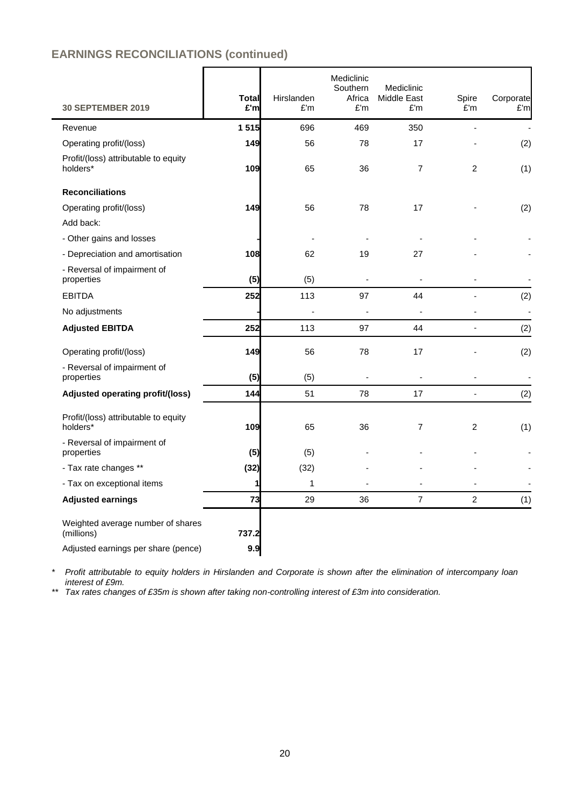## **EARNINGS RECONCILIATIONS (continued)**

| <b>30 SEPTEMBER 2019</b>                         | <b>Total</b><br>£'m | Hirslanden<br>£'m | Mediclinic<br>Southern<br>Africa<br>£'m | Mediclinic<br>Middle East<br>£'m | Spire<br>E'm   | Corporate<br>E'm         |
|--------------------------------------------------|---------------------|-------------------|-----------------------------------------|----------------------------------|----------------|--------------------------|
| Revenue                                          | 1515                | 696               | 469                                     | 350                              | $\overline{a}$ | ä,                       |
| Operating profit/(loss)                          | 149                 | 56                | 78                                      | 17                               |                | (2)                      |
| Profit/(loss) attributable to equity<br>holders* | 109                 | 65                | 36                                      | $\overline{7}$                   | 2              | (1)                      |
| <b>Reconciliations</b>                           |                     |                   |                                         |                                  |                |                          |
| Operating profit/(loss)                          | 149                 | 56                | 78                                      | 17                               |                | (2)                      |
| Add back:                                        |                     |                   |                                         |                                  |                |                          |
| - Other gains and losses                         |                     |                   |                                         |                                  |                |                          |
| - Depreciation and amortisation                  | 108                 | 62                | 19                                      | 27                               |                |                          |
| - Reversal of impairment of<br>properties        | (5)                 | (5)               | $\overline{a}$                          | $\blacksquare$                   |                |                          |
| <b>EBITDA</b>                                    | 252                 | 113               | 97                                      | 44                               |                | (2)                      |
| No adjustments                                   |                     | ä,                | $\overline{a}$                          |                                  |                |                          |
| <b>Adjusted EBITDA</b>                           | 252                 | 113               | 97                                      | 44                               | $\blacksquare$ | (2)                      |
| Operating profit/(loss)                          | 149                 | 56                | 78                                      | 17                               |                | (2)                      |
| - Reversal of impairment of<br>properties        | (5)                 | (5)               | $\overline{a}$                          |                                  |                | $\overline{\phantom{a}}$ |
| Adjusted operating profit/(loss)                 | 144                 | 51                | 78                                      | 17                               | $\sim$         | (2)                      |
| Profit/(loss) attributable to equity<br>holders* | 109                 | 65                | 36                                      | $\overline{7}$                   | $\overline{c}$ | (1)                      |
| - Reversal of impairment of<br>properties        | (5)                 | (5)               |                                         |                                  |                |                          |
| - Tax rate changes **                            | (32)                | (32)              |                                         |                                  |                |                          |
| - Tax on exceptional items                       | 1                   | 1                 |                                         |                                  |                |                          |
| <b>Adjusted earnings</b>                         | 73                  | 29                | 36                                      | $\overline{7}$                   | 2              | (1)                      |
| Weighted average number of shares<br>(millions)  | 737.2               |                   |                                         |                                  |                |                          |
| Adjusted earnings per share (pence)              | 9.9                 |                   |                                         |                                  |                |                          |

*\* Profit attributable to equity holders in Hirslanden and Corporate is shown after the elimination of intercompany loan interest of £9m.*

*\*\* Tax rates changes of £35m is shown after taking non-controlling interest of £3m into consideration.*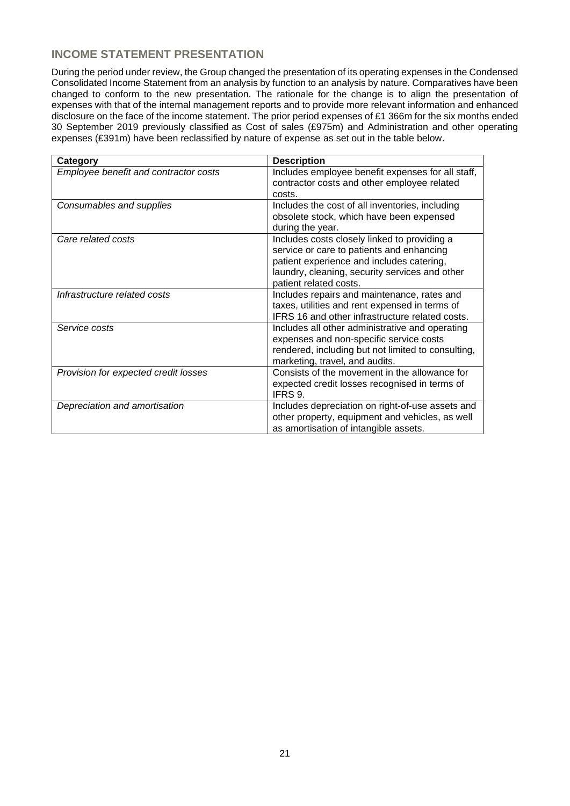## **INCOME STATEMENT PRESENTATION**

During the period under review, the Group changed the presentation of its operating expenses in the Condensed Consolidated Income Statement from an analysis by function to an analysis by nature. Comparatives have been changed to conform to the new presentation. The rationale for the change is to align the presentation of expenses with that of the internal management reports and to provide more relevant information and enhanced disclosure on the face of the income statement. The prior period expenses of £1 366m for the six months ended 30 September 2019 previously classified as Cost of sales (£975m) and Administration and other operating expenses (£391m) have been reclassified by nature of expense as set out in the table below.

| Category                              | <b>Description</b>                                 |
|---------------------------------------|----------------------------------------------------|
| Employee benefit and contractor costs | Includes employee benefit expenses for all staff,  |
|                                       | contractor costs and other employee related        |
|                                       | costs.                                             |
| Consumables and supplies              | Includes the cost of all inventories, including    |
|                                       | obsolete stock, which have been expensed           |
|                                       | during the year.                                   |
| Care related costs                    | Includes costs closely linked to providing a       |
|                                       | service or care to patients and enhancing          |
|                                       | patient experience and includes catering,          |
|                                       | laundry, cleaning, security services and other     |
|                                       | patient related costs.                             |
| Infrastructure related costs          | Includes repairs and maintenance, rates and        |
|                                       | taxes, utilities and rent expensed in terms of     |
|                                       | IFRS 16 and other infrastructure related costs.    |
| Service costs                         | Includes all other administrative and operating    |
|                                       | expenses and non-specific service costs            |
|                                       | rendered, including but not limited to consulting, |
|                                       | marketing, travel, and audits.                     |
| Provision for expected credit losses  | Consists of the movement in the allowance for      |
|                                       | expected credit losses recognised in terms of      |
|                                       | IFRS 9.                                            |
| Depreciation and amortisation         | Includes depreciation on right-of-use assets and   |
|                                       | other property, equipment and vehicles, as well    |
|                                       | as amortisation of intangible assets.              |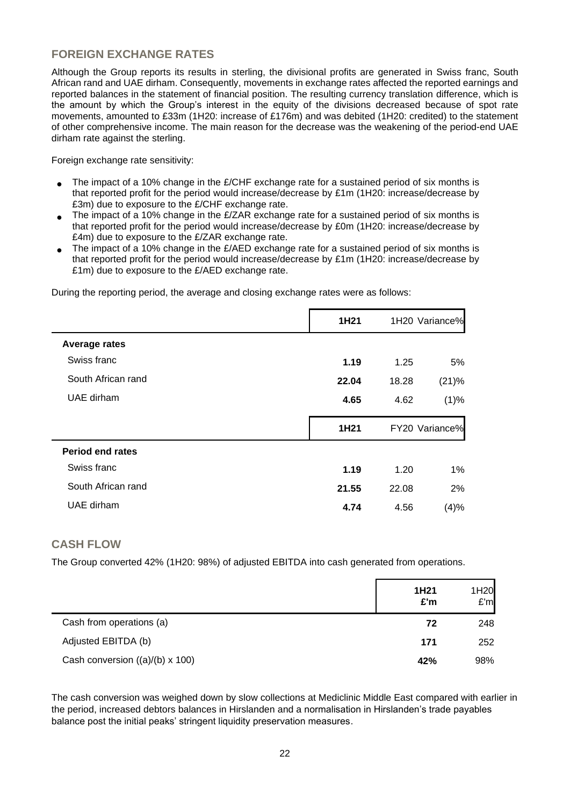## **FOREIGN EXCHANGE RATES**

Although the Group reports its results in sterling, the divisional profits are generated in Swiss franc, South African rand and UAE dirham. Consequently, movements in exchange rates affected the reported earnings and reported balances in the statement of financial position. The resulting currency translation difference, which is the amount by which the Group's interest in the equity of the divisions decreased because of spot rate movements, amounted to £33m (1H20: increase of £176m) and was debited (1H20: credited) to the statement of other comprehensive income. The main reason for the decrease was the weakening of the period-end UAE dirham rate against the sterling.

Foreign exchange rate sensitivity:

- The impact of a 10% change in the  $E/CHF$  exchange rate for a sustained period of six months is that reported profit for the period would increase/decrease by £1m (1H20: increase/decrease by £3m) due to exposure to the £/CHF exchange rate.
- The impact of a 10% change in the  $E/ZAR$  exchange rate for a sustained period of six months is that reported profit for the period would increase/decrease by £0m (1H20: increase/decrease by £4m) due to exposure to the £/ZAR exchange rate.
- The impact of a 10% change in the  $E/RED$  exchange rate for a sustained period of six months is that reported profit for the period would increase/decrease by £1m (1H20: increase/decrease by £1m) due to exposure to the £/AED exchange rate.

During the reporting period, the average and closing exchange rates were as follows:

|                         | 1H21  |       | 1H20 Variance% |
|-------------------------|-------|-------|----------------|
| <b>Average rates</b>    |       |       |                |
| Swiss franc             | 1.19  | 1.25  | 5%             |
| South African rand      | 22.04 | 18.28 | (21)%          |
| UAE dirham              | 4.65  | 4.62  | (1)%           |
|                         |       |       |                |
|                         | 1H21  |       | FY20 Variance% |
| <b>Period end rates</b> |       |       |                |
| Swiss franc             | 1.19  | 1.20  | 1%             |
| South African rand      | 21.55 | 22.08 | 2%             |
| UAE dirham              | 4.74  | 4.56  | (4)%           |
|                         |       |       |                |

## **CASH FLOW**

The Group converted 42% (1H20: 98%) of adjusted EBITDA into cash generated from operations.

|                                        | 1H21<br>£'m | 1H20<br>E'm |
|----------------------------------------|-------------|-------------|
| Cash from operations (a)               | 72          | 248         |
| Adjusted EBITDA (b)                    | 171         | 252         |
| Cash conversion $((a)/(b) \times 100)$ | 42%         | 98%         |

The cash conversion was weighed down by slow collections at Mediclinic Middle East compared with earlier in the period, increased debtors balances in Hirslanden and a normalisation in Hirslanden's trade payables balance post the initial peaks' stringent liquidity preservation measures.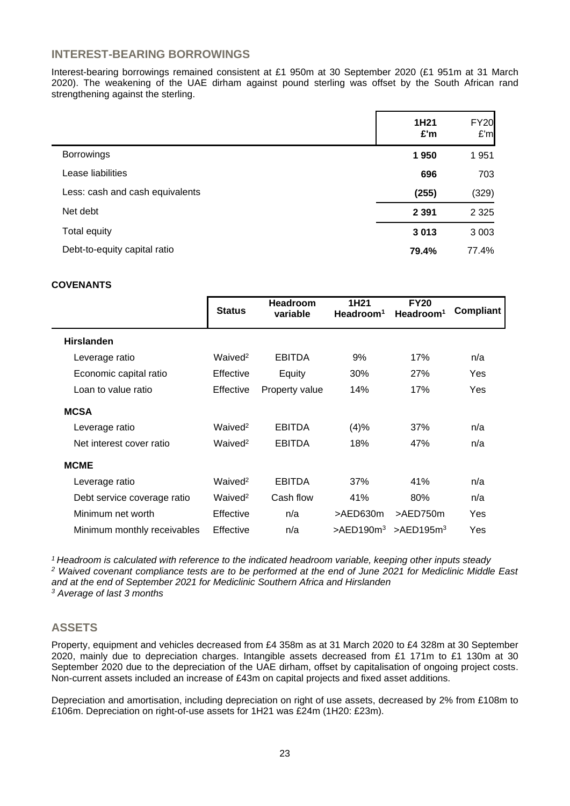## **INTEREST-BEARING BORROWINGS**

Interest-bearing borrowings remained consistent at £1 950m at 30 September 2020 (£1 951m at 31 March 2020). The weakening of the UAE dirham against pound sterling was offset by the South African rand strengthening against the sterling.

|                                 | 1H21<br>£'m | <b>FY20</b><br>E'm |
|---------------------------------|-------------|--------------------|
| <b>Borrowings</b>               | 1950        | 1951               |
| Lease liabilities               | 696         | 703                |
| Less: cash and cash equivalents | (255)       | (329)              |
| Net debt                        | 2 3 9 1     | 2 3 2 5            |
| Total equity                    | 3013        | 3 0 0 3            |
| Debt-to-equity capital ratio    | 79.4%       | 77.4%              |

#### **COVENANTS**

|                             | <b>Status</b>       | <b>Headroom</b><br>variable | 1H <sub>21</sub><br>Headroom <sup>1</sup> | <b>FY20</b><br>Headroom <sup>1</sup> | Compliant |
|-----------------------------|---------------------|-----------------------------|-------------------------------------------|--------------------------------------|-----------|
| <b>Hirslanden</b>           |                     |                             |                                           |                                      |           |
| Leverage ratio              | Waived <sup>2</sup> | <b>EBITDA</b>               | 9%                                        | 17%                                  | n/a       |
| Economic capital ratio      | Effective           | Equity                      | 30%                                       | <b>27%</b>                           | Yes       |
| Loan to value ratio         | Effective           | Property value              | 14%                                       | 17%                                  | Yes       |
| <b>MCSA</b>                 |                     |                             |                                           |                                      |           |
| Leverage ratio              | Waived <sup>2</sup> | <b>EBITDA</b>               | (4)%                                      | 37%                                  | n/a       |
| Net interest cover ratio    | Waived <sup>2</sup> | <b>EBITDA</b>               | 18%                                       | 47%                                  | n/a       |
| <b>MCME</b>                 |                     |                             |                                           |                                      |           |
| Leverage ratio              | Waived <sup>2</sup> | <b>EBITDA</b>               | 37%                                       | 41%                                  | n/a       |
| Debt service coverage ratio | Waived <sup>2</sup> | Cash flow                   | 41%                                       | 80%                                  | n/a       |
| Minimum net worth           | Effective           | n/a                         | >AED630m                                  | >AED750m                             | Yes       |
| Minimum monthly receivables | Effective           | n/a                         | $>$ AED190 $m3$                           | $>$ AED195m <sup>3</sup>             | Yes       |

*Headroom is calculated with reference to the indicated headroom variable, keeping other inputs steady Waived covenant compliance tests are to be performed at the end of June 2021 for Mediclinic Middle East and at the end of September 2021 for Mediclinic Southern Africa and Hirslanden Average of last 3 months*

## **ASSETS**

Property, equipment and vehicles decreased from £4 358m as at 31 March 2020 to £4 328m at 30 September 2020, mainly due to depreciation charges. Intangible assets decreased from £1 171m to £1 130m at 30 September 2020 due to the depreciation of the UAE dirham, offset by capitalisation of ongoing project costs. Non-current assets included an increase of £43m on capital projects and fixed asset additions.

Depreciation and amortisation, including depreciation on right of use assets, decreased by 2% from £108m to £106m. Depreciation on right-of-use assets for 1H21 was £24m (1H20: £23m).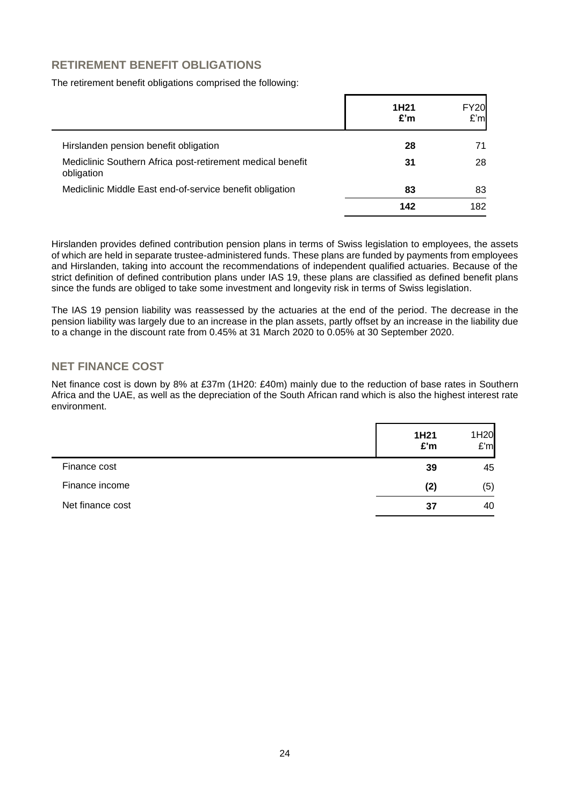## **RETIREMENT BENEFIT OBLIGATIONS**

#### The retirement benefit obligations comprised the following:

|                                                                          | 1H <sub>21</sub><br>£'m | <b>FY20</b><br>£'m |
|--------------------------------------------------------------------------|-------------------------|--------------------|
| Hirslanden pension benefit obligation                                    | 28                      | 71                 |
| Mediclinic Southern Africa post-retirement medical benefit<br>obligation | 31                      | 28                 |
| Mediclinic Middle East end-of-service benefit obligation                 | 83                      | 83                 |
|                                                                          | 142                     | 182                |

Hirslanden provides defined contribution pension plans in terms of Swiss legislation to employees, the assets of which are held in separate trustee-administered funds. These plans are funded by payments from employees and Hirslanden, taking into account the recommendations of independent qualified actuaries. Because of the strict definition of defined contribution plans under IAS 19, these plans are classified as defined benefit plans since the funds are obliged to take some investment and longevity risk in terms of Swiss legislation.

The IAS 19 pension liability was reassessed by the actuaries at the end of the period. The decrease in the pension liability was largely due to an increase in the plan assets, partly offset by an increase in the liability due to a change in the discount rate from 0.45% at 31 March 2020 to 0.05% at 30 September 2020.

## **NET FINANCE COST**

Net finance cost is down by 8% at £37m (1H20: £40m) mainly due to the reduction of base rates in Southern Africa and the UAE, as well as the depreciation of the South African rand which is also the highest interest rate environment.

|                  | 1H21<br>£'m | 1H20<br>E'm |
|------------------|-------------|-------------|
| Finance cost     | 39          | 45          |
| Finance income   | (2)         | (5)         |
| Net finance cost | 37          | 40          |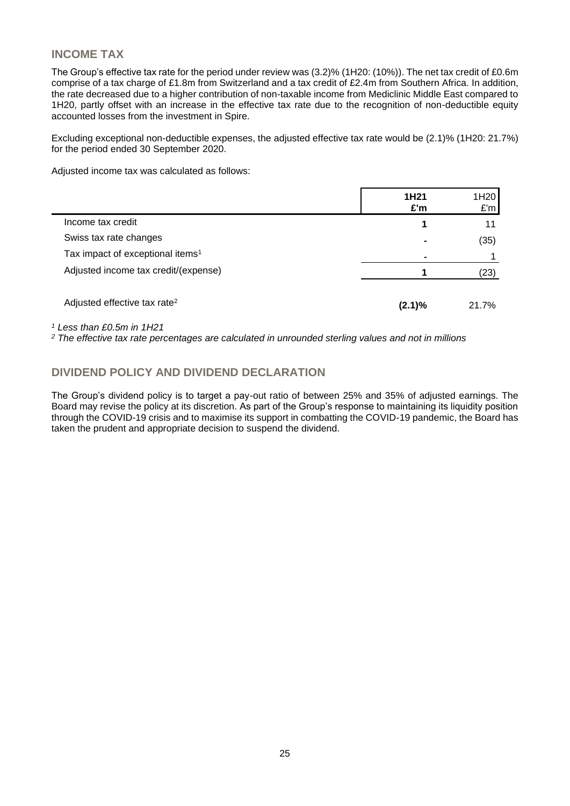## **INCOME TAX**

The Group's effective tax rate for the period under review was (3.2)% (1H20: (10%)). The net tax credit of £0.6m comprise of a tax charge of £1.8m from Switzerland and a tax credit of £2.4m from Southern Africa. In addition, the rate decreased due to a higher contribution of non-taxable income from Mediclinic Middle East compared to 1H20, partly offset with an increase in the effective tax rate due to the recognition of non-deductible equity accounted losses from the investment in Spire.

Excluding exceptional non-deductible expenses, the adjusted effective tax rate would be (2.1)% (1H20: 21.7%) for the period ended 30 September 2020.

Adjusted income tax was calculated as follows:

|                                              | 1H <sub>21</sub><br>£'m | 1H <sub>20</sub><br>E'm |
|----------------------------------------------|-------------------------|-------------------------|
| Income tax credit                            | 1                       | 11                      |
| Swiss tax rate changes                       | -                       | (35)                    |
| Tax impact of exceptional items <sup>1</sup> |                         |                         |
| Adjusted income tax credit/(expense)         |                         | (23)                    |
| Adjusted effective tax rate <sup>2</sup>     | (2.1)%                  | 21.7%                   |

*<sup>1</sup> Less than £0.5m in 1H21*

*<sup>2</sup> The effective tax rate percentages are calculated in unrounded sterling values and not in millions*

## **DIVIDEND POLICY AND DIVIDEND DECLARATION**

The Group's dividend policy is to target a pay-out ratio of between 25% and 35% of adjusted earnings. The Board may revise the policy at its discretion. As part of the Group's response to maintaining its liquidity position through the COVID-19 crisis and to maximise its support in combatting the COVID-19 pandemic, the Board has taken the prudent and appropriate decision to suspend the dividend.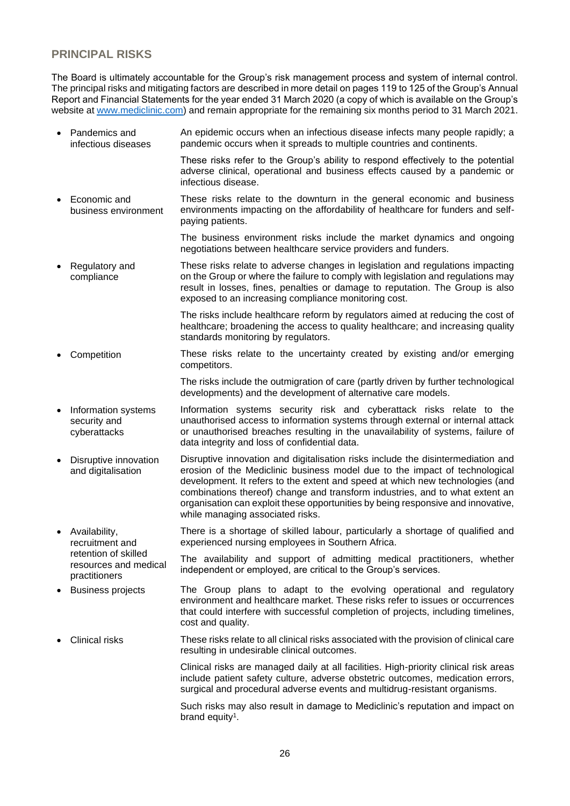## **PRINCIPAL RISKS**

practitioners

The Board is ultimately accountable for the Group's risk management process and system of internal control. The principal risks and mitigating factors are described in more detail on pages 119 to 125 of the Group's Annual Report and Financial Statements for the year ended 31 March 2020 (a copy of which is available on the Group's website at [www.mediclinic.com\)](http://www.mediclinic.com/) and remain appropriate for the remaining six months period to 31 March 2021.

- Pandemics and infectious diseases An epidemic occurs when an infectious disease infects many people rapidly; a pandemic occurs when it spreads to multiple countries and continents.
	- These risks refer to the Group's ability to respond effectively to the potential adverse clinical, operational and business effects caused by a pandemic or infectious disease.
- Economic and business environment These risks relate to the downturn in the general economic and business environments impacting on the affordability of healthcare for funders and selfpaying patients.

The business environment risks include the market dynamics and ongoing negotiations between healthcare service providers and funders.

• Regulatory and compliance These risks relate to adverse changes in legislation and regulations impacting on the Group or where the failure to comply with legislation and regulations may result in losses, fines, penalties or damage to reputation. The Group is also exposed to an increasing compliance monitoring cost.

> The risks include healthcare reform by regulators aimed at reducing the cost of healthcare; broadening the access to quality healthcare; and increasing quality standards monitoring by regulators.

• Competition These risks relate to the uncertainty created by existing and/or emerging competitors.

> The risks include the outmigration of care (partly driven by further technological developments) and the development of alternative care models.

- Information systems security and cyberattacks Information systems security risk and cyberattack risks relate to the unauthorised access to information systems through external or internal attack or unauthorised breaches resulting in the unavailability of systems, failure of data integrity and loss of confidential data.
- Disruptive innovation and digitalisation Disruptive innovation and digitalisation risks include the disintermediation and erosion of the Mediclinic business model due to the impact of technological development. It refers to the extent and speed at which new technologies (and combinations thereof) change and transform industries, and to what extent an organisation can exploit these opportunities by being responsive and innovative, while managing associated risks.
- Availability, recruitment and retention of skilled There is a shortage of skilled labour, particularly a shortage of qualified and experienced nursing employees in Southern Africa.

resources and medical The availability and support of admitting medical practitioners, whether independent or employed, are critical to the Group's services.

- Business projects The Group plans to adapt to the evolving operational and regulatory environment and healthcare market. These risks refer to issues or occurrences that could interfere with successful completion of projects, including timelines, cost and quality.
- Clinical risks These risks relate to all clinical risks associated with the provision of clinical care resulting in undesirable clinical outcomes.

Clinical risks are managed daily at all facilities. High-priority clinical risk areas include patient safety culture, adverse obstetric outcomes, medication errors, surgical and procedural adverse events and multidrug-resistant organisms.

Such risks may also result in damage to Mediclinic's reputation and impact on brand equity<sup>1</sup>.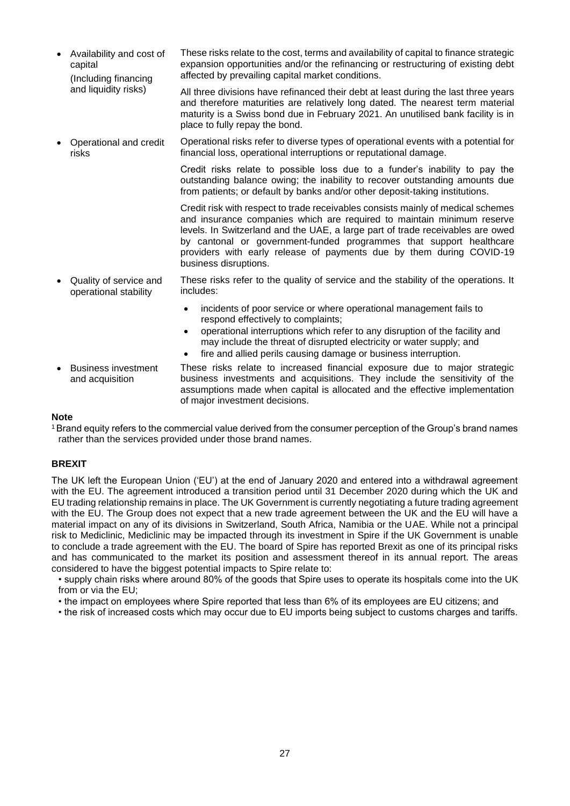- Availability and cost of capital (Including financing and liquidity risks) These risks relate to the cost, terms and availability of capital to finance strategic expansion opportunities and/or the refinancing or restructuring of existing debt affected by prevailing capital market conditions. All three divisions have refinanced their debt at least during the last three years and therefore maturities are relatively long dated. The nearest term material maturity is a Swiss bond due in February 2021. An unutilised bank facility is in place to fully repay the bond. • Operational and credit risks Operational risks refer to diverse types of operational events with a potential for financial loss, operational interruptions or reputational damage. Credit risks relate to possible loss due to a funder's inability to pay the outstanding balance owing; the inability to recover outstanding amounts due from patients; or default by banks and/or other deposit-taking institutions. Credit risk with respect to trade receivables consists mainly of medical schemes and insurance companies which are required to maintain minimum reserve levels. In Switzerland and the UAE, a large part of trade receivables are owed by cantonal or government-funded programmes that support healthcare providers with early release of payments due by them during COVID-19 business disruptions. • Quality of service and operational stability These risks refer to the quality of service and the stability of the operations. It includes: • incidents of poor service or where operational management fails to respond effectively to complaints; • operational interruptions which refer to any disruption of the facility and may include the threat of disrupted electricity or water supply; and fire and allied perils causing damage or business interruption.
- Business investment and acquisition These risks relate to increased financial exposure due to major strategic business investments and acquisitions. They include the sensitivity of the assumptions made when capital is allocated and the effective implementation of major investment decisions.

#### **Note**

<sup>1</sup>Brand equity refers to the commercial value derived from the consumer perception of the Group's brand names rather than the services provided under those brand names.

#### **BREXIT**

The UK left the European Union ('EU') at the end of January 2020 and entered into a withdrawal agreement with the EU. The agreement introduced a transition period until 31 December 2020 during which the UK and EU trading relationship remains in place. The UK Government is currently negotiating a future trading agreement with the EU. The Group does not expect that a new trade agreement between the UK and the EU will have a material impact on any of its divisions in Switzerland, South Africa, Namibia or the UAE. While not a principal risk to Mediclinic, Mediclinic may be impacted through its investment in Spire if the UK Government is unable to conclude a trade agreement with the EU. The board of Spire has reported Brexit as one of its principal risks and has communicated to the market its position and assessment thereof in its annual report. The areas considered to have the biggest potential impacts to Spire relate to:

• supply chain risks where around 80% of the goods that Spire uses to operate its hospitals come into the UK from or via the EU;

- the impact on employees where Spire reported that less than 6% of its employees are EU citizens; and
- the risk of increased costs which may occur due to EU imports being subject to customs charges and tariffs.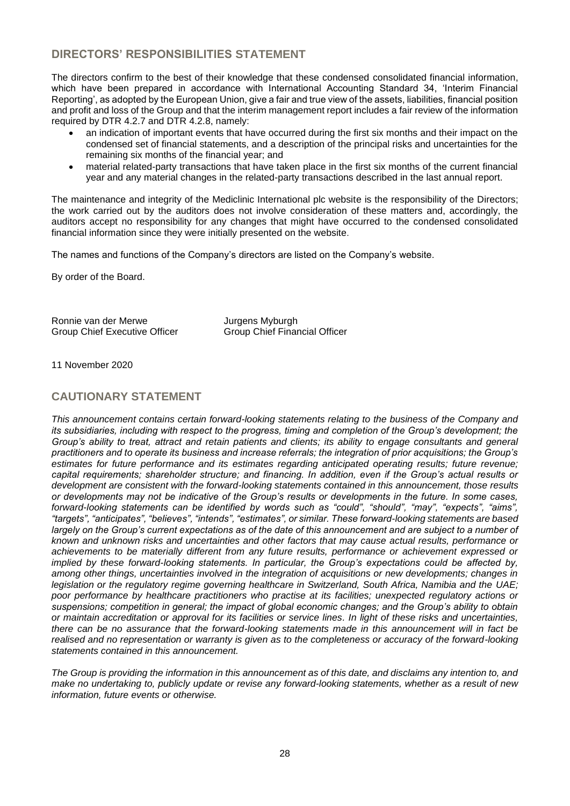## **DIRECTORS' RESPONSIBILITIES STATEMENT**

The directors confirm to the best of their knowledge that these condensed consolidated financial information, which have been prepared in accordance with International Accounting Standard 34, 'Interim Financial Reporting', as adopted by the European Union, give a fair and true view of the assets, liabilities, financial position and profit and loss of the Group and that the interim management report includes a fair review of the information required by DTR 4.2.7 and DTR 4.2.8, namely:

- an indication of important events that have occurred during the first six months and their impact on the condensed set of financial statements, and a description of the principal risks and uncertainties for the remaining six months of the financial year; and
- material related-party transactions that have taken place in the first six months of the current financial year and any material changes in the related-party transactions described in the last annual report.

The maintenance and integrity of the Mediclinic International plc website is the responsibility of the Directors; the work carried out by the auditors does not involve consideration of these matters and, accordingly, the auditors accept no responsibility for any changes that might have occurred to the condensed consolidated financial information since they were initially presented on the website.

The names and functions of the Company's directors are listed on the Company's website.

By order of the Board.

Ronnie van der Merwe **Jurgens Myburgh<br>Group Chief Executive Officer** Group Chief Finar

Group Chief Financial Officer

11 November 2020

## **CAUTIONARY STATEMENT**

*This announcement contains certain forward-looking statements relating to the business of the Company and its subsidiaries, including with respect to the progress, timing and completion of the Group's development; the Group's ability to treat, attract and retain patients and clients; its ability to engage consultants and general practitioners and to operate its business and increase referrals; the integration of prior acquisitions; the Group's estimates for future performance and its estimates regarding anticipated operating results; future revenue; capital requirements; shareholder structure; and financing. In addition, even if the Group's actual results or development are consistent with the forward-looking statements contained in this announcement, those results or developments may not be indicative of the Group's results or developments in the future. In some cases, forward-looking statements can be identified by words such as "could", "should", "may", "expects", "aims", "targets", "anticipates", "believes", "intends", "estimates", or similar. These forward-looking statements are based largely on the Group's current expectations as of the date of this announcement and are subject to a number of known and unknown risks and uncertainties and other factors that may cause actual results, performance or achievements to be materially different from any future results, performance or achievement expressed or implied by these forward-looking statements. In particular, the Group's expectations could be affected by, among other things, uncertainties involved in the integration of acquisitions or new developments; changes in legislation or the regulatory regime governing healthcare in Switzerland, South Africa, Namibia and the UAE; poor performance by healthcare practitioners who practise at its facilities; unexpected regulatory actions or suspensions; competition in general; the impact of global economic changes; and the Group's ability to obtain or maintain accreditation or approval for its facilities or service lines. In light of these risks and uncertainties, there can be no assurance that the forward-looking statements made in this announcement will in fact be realised and no representation or warranty is given as to the completeness or accuracy of the forward-looking statements contained in this announcement.*

*The Group is providing the information in this announcement as of this date, and disclaims any intention to, and make no undertaking to, publicly update or revise any forward-looking statements, whether as a result of new information, future events or otherwise.*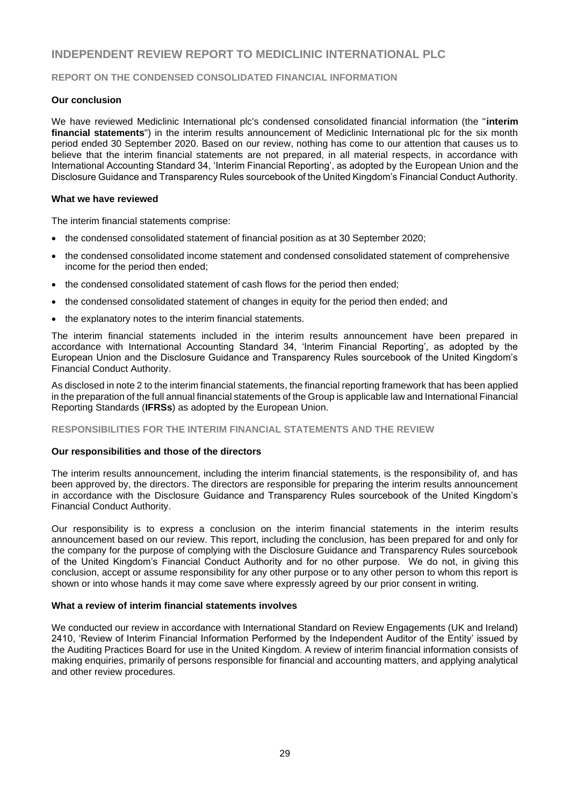## **INDEPENDENT REVIEW REPORT TO MEDICLINIC INTERNATIONAL PLC**

#### **REPORT ON THE CONDENSED CONSOLIDATED FINANCIAL INFORMATION**

#### **Our conclusion**

We have reviewed Mediclinic International plc's condensed consolidated financial information (the "**interim financial statements**") in the interim results announcement of Mediclinic International plc for the six month period ended 30 September 2020. Based on our review, nothing has come to our attention that causes us to believe that the interim financial statements are not prepared, in all material respects, in accordance with International Accounting Standard 34, 'Interim Financial Reporting', as adopted by the European Union and the Disclosure Guidance and Transparency Rules sourcebook of the United Kingdom's Financial Conduct Authority.

#### **What we have reviewed**

The interim financial statements comprise:

- the condensed consolidated statement of financial position as at 30 September 2020;
- the condensed consolidated income statement and condensed consolidated statement of comprehensive income for the period then ended;
- the condensed consolidated statement of cash flows for the period then ended;
- the condensed consolidated statement of changes in equity for the period then ended; and
- the explanatory notes to the interim financial statements.

The interim financial statements included in the interim results announcement have been prepared in accordance with International Accounting Standard 34, 'Interim Financial Reporting', as adopted by the European Union and the Disclosure Guidance and Transparency Rules sourcebook of the United Kingdom's Financial Conduct Authority.

As disclosed in note 2 to the interim financial statements, the financial reporting framework that has been applied in the preparation of the full annual financial statements of the Group is applicable law and International Financial Reporting Standards (**IFRSs**) as adopted by the European Union.

#### **RESPONSIBILITIES FOR THE INTERIM FINANCIAL STATEMENTS AND THE REVIEW**

#### **Our responsibilities and those of the directors**

The interim results announcement, including the interim financial statements, is the responsibility of, and has been approved by, the directors. The directors are responsible for preparing the interim results announcement in accordance with the Disclosure Guidance and Transparency Rules sourcebook of the United Kingdom's Financial Conduct Authority.

Our responsibility is to express a conclusion on the interim financial statements in the interim results announcement based on our review. This report, including the conclusion, has been prepared for and only for the company for the purpose of complying with the Disclosure Guidance and Transparency Rules sourcebook of the United Kingdom's Financial Conduct Authority and for no other purpose. We do not, in giving this conclusion, accept or assume responsibility for any other purpose or to any other person to whom this report is shown or into whose hands it may come save where expressly agreed by our prior consent in writing.

#### **What a review of interim financial statements involves**

We conducted our review in accordance with International Standard on Review Engagements (UK and Ireland) 2410, 'Review of Interim Financial Information Performed by the Independent Auditor of the Entity' issued by the Auditing Practices Board for use in the United Kingdom. A review of interim financial information consists of making enquiries, primarily of persons responsible for financial and accounting matters, and applying analytical and other review procedures.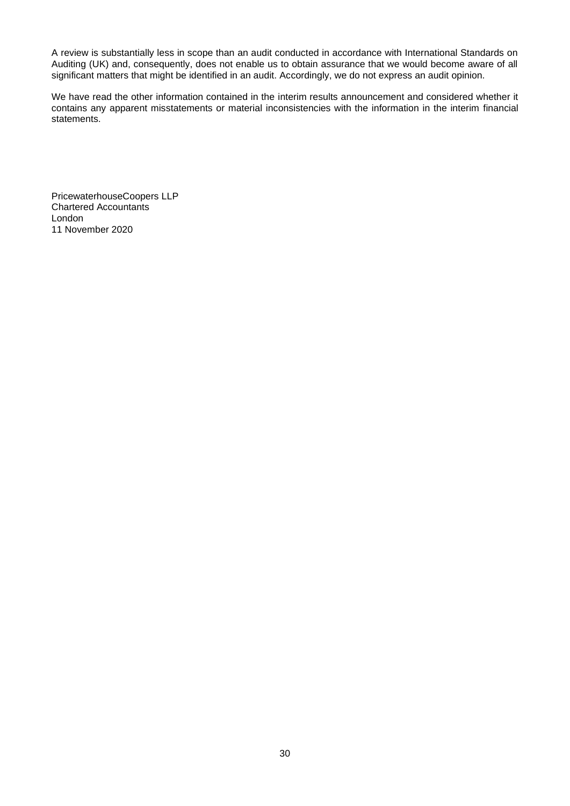A review is substantially less in scope than an audit conducted in accordance with International Standards on Auditing (UK) and, consequently, does not enable us to obtain assurance that we would become aware of all significant matters that might be identified in an audit. Accordingly, we do not express an audit opinion.

We have read the other information contained in the interim results announcement and considered whether it contains any apparent misstatements or material inconsistencies with the information in the interim financial statements.

PricewaterhouseCoopers LLP Chartered Accountants London 11 November 2020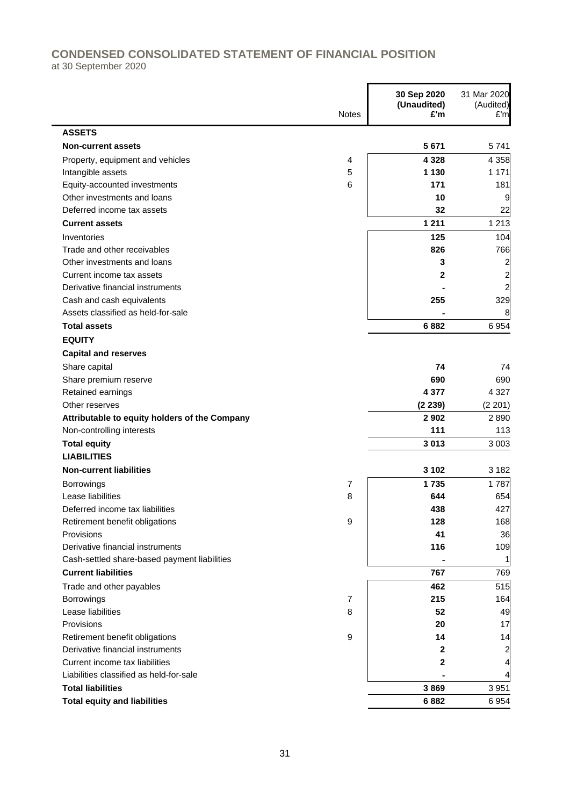## **CONDENSED CONSOLIDATED STATEMENT OF FINANCIAL POSITION**

at 30 September 2020

|                                               | <b>Notes</b> | 30 Sep 2020<br>(Unaudited)<br>£'m | 31 Mar 2020<br>(Audited)<br>E'm |
|-----------------------------------------------|--------------|-----------------------------------|---------------------------------|
| <b>ASSETS</b>                                 |              |                                   |                                 |
| <b>Non-current assets</b>                     |              | 5 6 7 1                           | 5741                            |
| Property, equipment and vehicles              | 4            | 4 3 2 8                           | 4 3 5 8                         |
| Intangible assets                             | 5            | 1 1 3 0                           | 1 1 7 1                         |
| Equity-accounted investments                  | 6            | 171                               | 181                             |
| Other investments and loans                   |              | 10                                | 9                               |
| Deferred income tax assets                    |              | 32                                | 22                              |
| <b>Current assets</b>                         |              | 1 2 1 1                           | 1 2 1 3                         |
| Inventories                                   |              | 125                               | 104                             |
| Trade and other receivables                   |              | 826                               | 766                             |
| Other investments and loans                   |              | 3                                 | 2                               |
| Current income tax assets                     |              | 2                                 | $\overline{\mathbf{c}}$         |
| Derivative financial instruments              |              |                                   | $\overline{a}$                  |
| Cash and cash equivalents                     |              | 255                               | 329                             |
| Assets classified as held-for-sale            |              |                                   | 8                               |
| <b>Total assets</b>                           |              | 6882                              | 6954                            |
| <b>EQUITY</b>                                 |              |                                   |                                 |
| <b>Capital and reserves</b>                   |              |                                   |                                 |
| Share capital                                 |              | 74                                | 74                              |
| Share premium reserve                         |              | 690                               | 690                             |
| Retained earnings                             |              | 4 3 7 7                           | 4 3 2 7                         |
| Other reserves                                |              | (2239)                            | (2 201)                         |
| Attributable to equity holders of the Company |              | 2902                              | 2890                            |
| Non-controlling interests                     |              | 111                               | 113                             |
| <b>Total equity</b>                           |              | 3013                              | 3 0 0 3                         |
| <b>LIABILITIES</b>                            |              |                                   |                                 |
| <b>Non-current liabilities</b>                |              | 3 1 0 2                           | 3 1 8 2                         |
| Borrowings                                    | 7            | 1735                              | 1787                            |
| Lease liabilities                             | 8            | 644                               | 654                             |
| Deferred income tax liabilities               |              | 438                               | 427                             |
| Retirement benefit obligations                | 9            | 128                               | 168                             |
| Provisions                                    |              | 41                                | 36                              |
| Derivative financial instruments              |              | 116                               | 109                             |
| Cash-settled share-based payment liabilities  |              |                                   |                                 |
| <b>Current liabilities</b>                    |              | 767                               | 769                             |
| Trade and other payables                      |              | 462                               | 515                             |
| Borrowings                                    | 7            | 215                               | 164                             |
| Lease liabilities                             | 8            | 52                                | 49                              |
| Provisions                                    |              | 20                                | 17                              |
| Retirement benefit obligations                | 9            | 14                                | 14                              |
| Derivative financial instruments              |              | $\mathbf{2}$                      | 2                               |
| Current income tax liabilities                |              | $\mathbf{2}$                      | 4                               |
| Liabilities classified as held-for-sale       |              |                                   | 4                               |
| <b>Total liabilities</b>                      |              | 3869                              | 3 9 5 1                         |
| <b>Total equity and liabilities</b>           |              | 6882                              | 6954                            |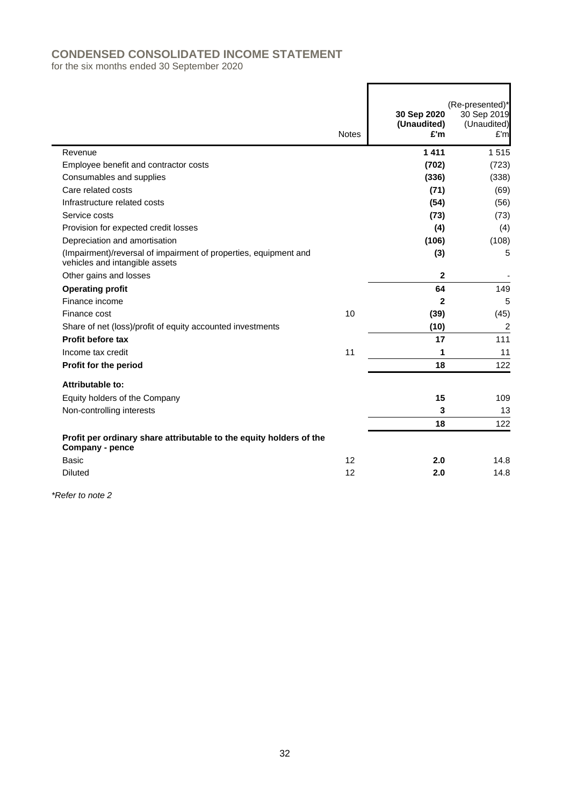## **CONDENSED CONSOLIDATED INCOME STATEMENT**

for the six months ended 30 September 2020

|                                                                                                    | <b>Notes</b> | 30 Sep 2020<br>(Unaudited)<br>£'m | (Re-presented)*<br>30 Sep 2019<br>(Unaudited)<br>£'m |
|----------------------------------------------------------------------------------------------------|--------------|-----------------------------------|------------------------------------------------------|
| Revenue                                                                                            |              | 1411                              | 1515                                                 |
| Employee benefit and contractor costs                                                              |              | (702)                             | (723)                                                |
| Consumables and supplies                                                                           |              | (336)                             | (338)                                                |
| Care related costs                                                                                 |              | (71)                              | (69)                                                 |
| Infrastructure related costs                                                                       |              | (54)                              | (56)                                                 |
| Service costs                                                                                      |              | (73)                              | (73)                                                 |
| Provision for expected credit losses                                                               |              | (4)                               | (4)                                                  |
| Depreciation and amortisation                                                                      |              | (106)                             | (108)                                                |
| (Impairment)/reversal of impairment of properties, equipment and<br>vehicles and intangible assets |              | (3)                               | 5                                                    |
| Other gains and losses                                                                             |              | $\overline{2}$                    |                                                      |
| <b>Operating profit</b>                                                                            |              | 64                                | 149                                                  |
| Finance income                                                                                     |              | $\mathbf{2}$                      | 5                                                    |
| Finance cost                                                                                       | 10           | (39)                              | (45)                                                 |
| Share of net (loss)/profit of equity accounted investments                                         |              | (10)                              | 2                                                    |
| Profit before tax                                                                                  |              | 17                                | 111                                                  |
| Income tax credit                                                                                  | 11           | 1                                 | 11                                                   |
| Profit for the period                                                                              |              | 18                                | 122                                                  |
| Attributable to:                                                                                   |              |                                   |                                                      |
| Equity holders of the Company                                                                      |              | 15                                | 109                                                  |
| Non-controlling interests                                                                          |              | 3                                 | 13                                                   |
|                                                                                                    |              | 18                                | 122                                                  |
| Profit per ordinary share attributable to the equity holders of the<br>Company - pence             |              |                                   |                                                      |
| Basic                                                                                              | 12           | 2.0                               | 14.8                                                 |
| <b>Diluted</b>                                                                                     | 12           | 2.0                               | 14.8                                                 |

 $\blacksquare$ 

*\*Refer to note 2*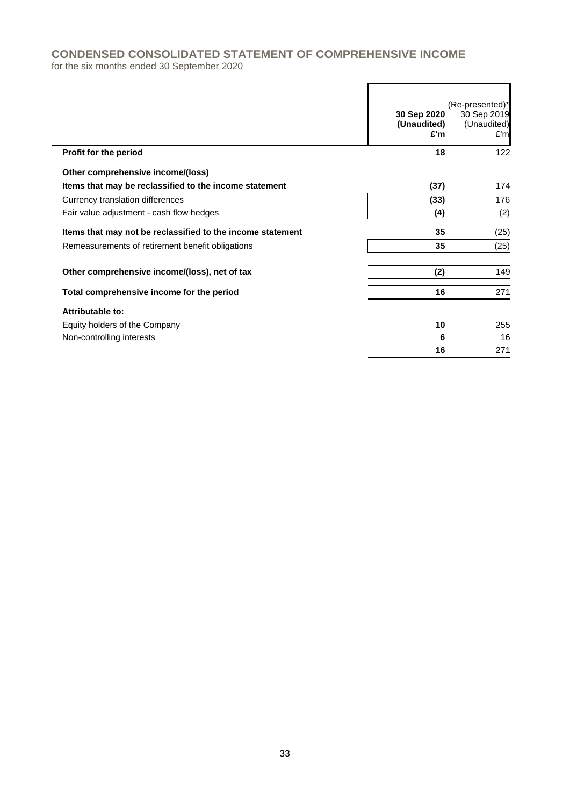# **CONDENSED CONSOLIDATED STATEMENT OF COMPREHENSIVE INCOME**

for the six months ended 30 September 2020

|                                                            | 30 Sep 2020<br>(Unaudited)<br>£'m | (Re-presented)*<br>30 Sep 2019<br>(Unaudited)<br>E'm |
|------------------------------------------------------------|-----------------------------------|------------------------------------------------------|
| Profit for the period                                      | 18                                | 122                                                  |
| Other comprehensive income/(loss)                          |                                   |                                                      |
| Items that may be reclassified to the income statement     | (37)                              | 174                                                  |
| Currency translation differences                           | (33)                              | 176                                                  |
| Fair value adjustment - cash flow hedges                   | (4)                               | (2)                                                  |
| Items that may not be reclassified to the income statement | 35                                | (25)                                                 |
| Remeasurements of retirement benefit obligations           | 35                                | (25)                                                 |
| Other comprehensive income/(loss), net of tax              | (2)                               | 149                                                  |
| Total comprehensive income for the period                  | 16                                | 271                                                  |
| Attributable to:                                           |                                   |                                                      |
| Equity holders of the Company                              | 10                                | 255                                                  |
| Non-controlling interests                                  | 6                                 | 16                                                   |
|                                                            | 16                                | 271                                                  |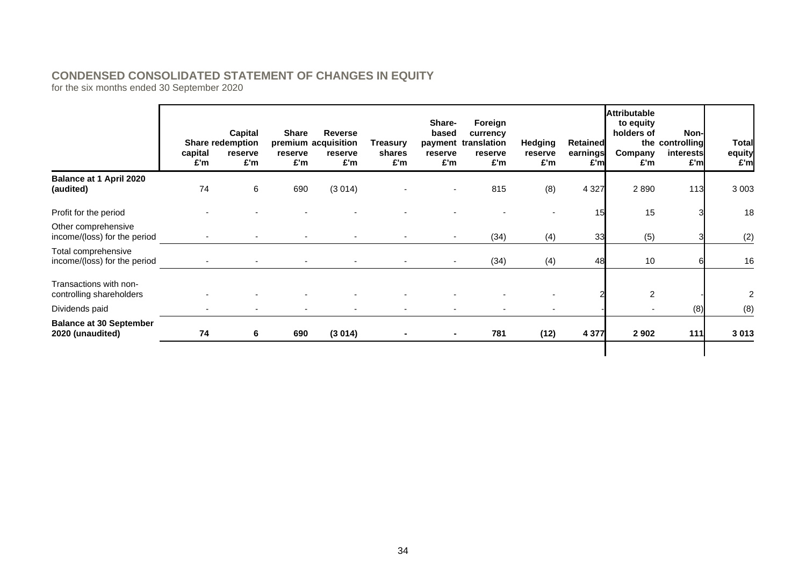## **CONDENSED CONSOLIDATED STATEMENT OF CHANGES IN EQUITY**

for the six months ended 30 September 2020

|                                                     | capital<br>£'m | Capital<br><b>Share redemption</b><br>reserve<br>£'m | <b>Share</b><br>reserve<br>£'m | <b>Reverse</b><br>premium acquisition<br>reserve<br>£'m | Treasury<br>shares<br>£'m | Share-<br>based<br>reserve<br>£'m | Foreign<br>currency<br>payment translation<br>reserve<br>£'m | <b>Hedging</b><br>reserve<br>£'m | Retained<br>earnings<br>£'m | <b>Attributable</b><br>to equity<br>holders of<br>Company<br>£'m | Non-<br>the controlling<br>interests<br>£'ml | <b>Total</b><br>equity<br>£'m |
|-----------------------------------------------------|----------------|------------------------------------------------------|--------------------------------|---------------------------------------------------------|---------------------------|-----------------------------------|--------------------------------------------------------------|----------------------------------|-----------------------------|------------------------------------------------------------------|----------------------------------------------|-------------------------------|
| <b>Balance at 1 April 2020</b><br>(audited)         | 74             | 6                                                    | 690                            | (3014)                                                  |                           |                                   | 815                                                          | (8)                              | 4 3 2 7                     | 2890                                                             | 113                                          | 3 0 0 3                       |
| Profit for the period                               |                |                                                      |                                |                                                         |                           |                                   |                                                              |                                  | 15                          | 15                                                               |                                              | 18                            |
| Other comprehensive<br>income/(loss) for the period |                |                                                      |                                |                                                         |                           |                                   | (34)                                                         | (4)                              | 33                          | (5)                                                              |                                              | (2)                           |
| Total comprehensive<br>income/(loss) for the period |                |                                                      |                                | $\blacksquare$                                          |                           |                                   | (34)                                                         | (4)                              | 48                          | 10                                                               |                                              | 16                            |
| Transactions with non-<br>controlling shareholders  |                |                                                      |                                |                                                         |                           |                                   |                                                              |                                  |                             | 2                                                                |                                              | 2                             |
| Dividends paid                                      |                |                                                      |                                |                                                         |                           |                                   |                                                              |                                  |                             |                                                                  | (8)                                          | (8)                           |
| <b>Balance at 30 September</b><br>2020 (unaudited)  | 74             | 6                                                    | 690                            | (3014)                                                  |                           | ٠                                 | 781                                                          | (12)                             | 4 3 7 7                     | 2 9 0 2                                                          | 111                                          | 3013                          |
|                                                     |                |                                                      |                                |                                                         |                           |                                   |                                                              |                                  |                             |                                                                  |                                              |                               |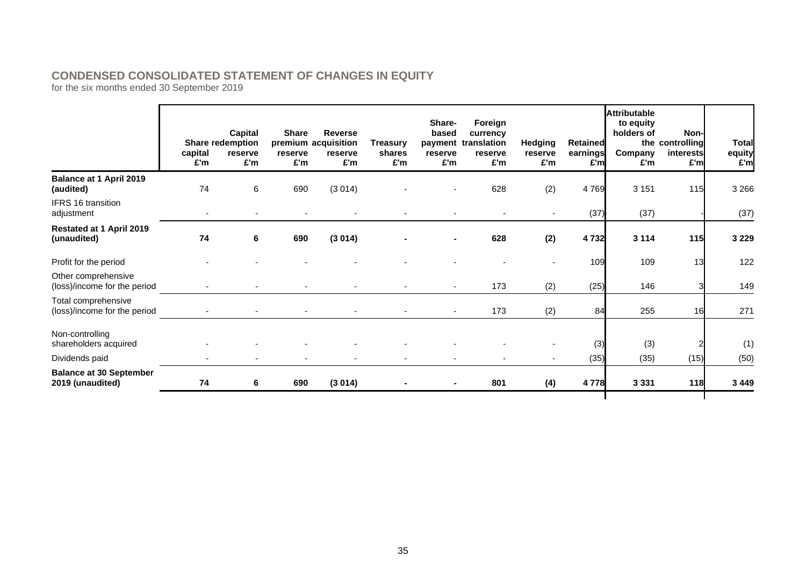## **CONDENSED CONSOLIDATED STATEMENT OF CHANGES IN EQUITY**

for the six months ended 30 September 2019

|                                                     | capital<br>£'m | Capital<br>Share redemption<br>reserve<br>£'m | <b>Share</b><br>reserve<br>£'m | <b>Reverse</b><br>premium acquisition<br>reserve<br>£'m | <b>Treasury</b><br>shares<br>£'m | Share-<br>based<br>reserve<br>£'m | Foreign<br>currency<br>payment translation<br>reserve<br>£'m | <b>Hedging</b><br>reserve<br>£'m | Retained<br>earnings<br>£'ml | <b>Attributable</b><br>to equity<br>holders of<br>Company<br>£'m | Non-<br>the controlling<br>interests<br>£'ml | <b>Total</b><br>equity<br>£'m |
|-----------------------------------------------------|----------------|-----------------------------------------------|--------------------------------|---------------------------------------------------------|----------------------------------|-----------------------------------|--------------------------------------------------------------|----------------------------------|------------------------------|------------------------------------------------------------------|----------------------------------------------|-------------------------------|
| <b>Balance at 1 April 2019</b><br>(audited)         | 74             | 6                                             | 690                            | (3014)                                                  |                                  |                                   | 628                                                          | (2)                              | 4769                         | 3 1 5 1                                                          | 115                                          | 3 2 6 6                       |
| <b>IFRS 16 transition</b><br>adjustment             |                |                                               |                                |                                                         |                                  |                                   |                                                              |                                  | (37)                         | (37)                                                             |                                              | (37)                          |
| Restated at 1 April 2019<br>(unaudited)             | 74             | 6                                             | 690                            | (3014)                                                  |                                  |                                   | 628                                                          | (2)                              | 4 7 3 2                      | 3 1 1 4                                                          | 115                                          | 3 2 2 9                       |
| Profit for the period                               |                |                                               |                                |                                                         |                                  |                                   |                                                              |                                  | 109                          | 109                                                              | 13                                           | 122                           |
| Other comprehensive<br>(loss)/income for the period |                |                                               |                                |                                                         |                                  |                                   | 173                                                          | (2)                              | (25)                         | 146                                                              |                                              | 149                           |
| Total comprehensive<br>(loss)/income for the period |                |                                               |                                | $\overline{\phantom{a}}$                                |                                  |                                   | 173                                                          | (2)                              | 84                           | 255                                                              | 16                                           | 271                           |
| Non-controlling<br>shareholders acquired            |                |                                               |                                |                                                         |                                  |                                   |                                                              |                                  | (3)                          | (3)                                                              |                                              | (1)                           |
| Dividends paid                                      |                |                                               |                                |                                                         |                                  |                                   |                                                              |                                  | (35)                         | (35)                                                             | (15)                                         | (50)                          |
| <b>Balance at 30 September</b><br>2019 (unaudited)  | 74             | 6                                             | 690                            | (3014)                                                  |                                  |                                   | 801                                                          | (4)                              | 4778                         | 3 3 3 1                                                          | 118                                          | 3 4 4 9                       |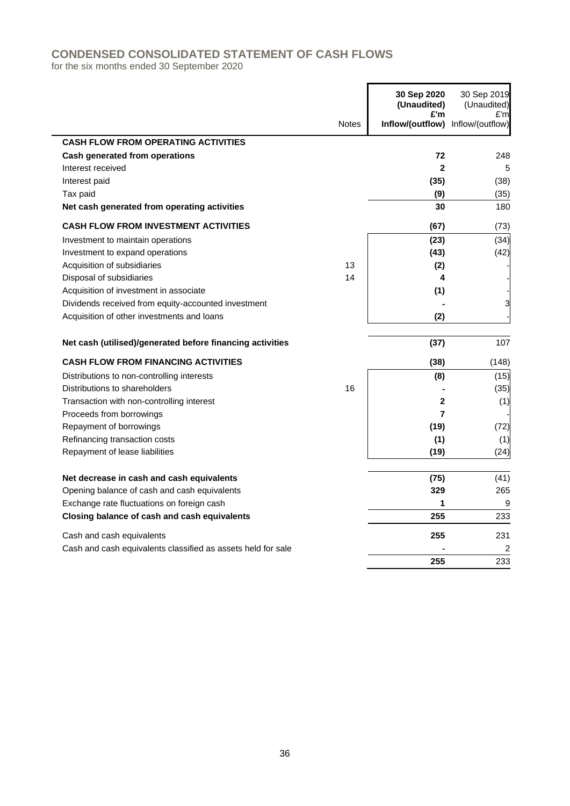## **CONDENSED CONSOLIDATED STATEMENT OF CASH FLOWS**

for the six months ended 30 September 2020

|                                                              |              | 30 Sep 2020<br>(Unaudited)<br>£'m | 30 Sep 2019<br>(Unaudited) |
|--------------------------------------------------------------|--------------|-----------------------------------|----------------------------|
|                                                              | <b>Notes</b> | Inflow/(outflow) Inflow/(outflow) | £'m                        |
| <b>CASH FLOW FROM OPERATING ACTIVITIES</b>                   |              |                                   |                            |
| <b>Cash generated from operations</b>                        |              | 72                                | 248                        |
| Interest received                                            |              | $\mathbf{2}$                      | 5                          |
| Interest paid                                                |              | (35)                              | (38)                       |
| Tax paid                                                     |              | (9)                               | (35)                       |
| Net cash generated from operating activities                 |              | 30                                | 180                        |
| <b>CASH FLOW FROM INVESTMENT ACTIVITIES</b>                  |              | (67)                              | (73)                       |
| Investment to maintain operations                            |              | (23)                              | (34)                       |
| Investment to expand operations                              |              | (43)                              | (42)                       |
| Acquisition of subsidiaries                                  | 13           | (2)                               |                            |
| Disposal of subsidiaries                                     | 14           | 4                                 |                            |
| Acquisition of investment in associate                       |              | (1)                               |                            |
| Dividends received from equity-accounted investment          |              |                                   | 3                          |
| Acquisition of other investments and loans                   |              | (2)                               |                            |
| Net cash (utilised)/generated before financing activities    |              | (37)                              | 107                        |
| <b>CASH FLOW FROM FINANCING ACTIVITIES</b>                   |              | (38)                              | (148)                      |
| Distributions to non-controlling interests                   |              | (8)                               | (15)                       |
| Distributions to shareholders                                | 16           |                                   | (35)                       |
| Transaction with non-controlling interest                    |              | $\mathbf{2}$                      | (1)                        |
| Proceeds from borrowings                                     |              | $\overline{7}$                    |                            |
| Repayment of borrowings                                      |              | (19)                              | (72)                       |
| Refinancing transaction costs                                |              | (1)                               | (1)                        |
| Repayment of lease liabilities                               |              | (19)                              | (24)                       |
| Net decrease in cash and cash equivalents                    |              | (75)                              | (41)                       |
| Opening balance of cash and cash equivalents                 |              | 329                               | 265                        |
| Exchange rate fluctuations on foreign cash                   |              | 1                                 | 9                          |
| Closing balance of cash and cash equivalents                 |              | 255                               | 233                        |
| Cash and cash equivalents                                    |              | 255                               | 231                        |
| Cash and cash equivalents classified as assets held for sale |              |                                   | 2                          |
|                                                              |              | 255                               | 233                        |

'n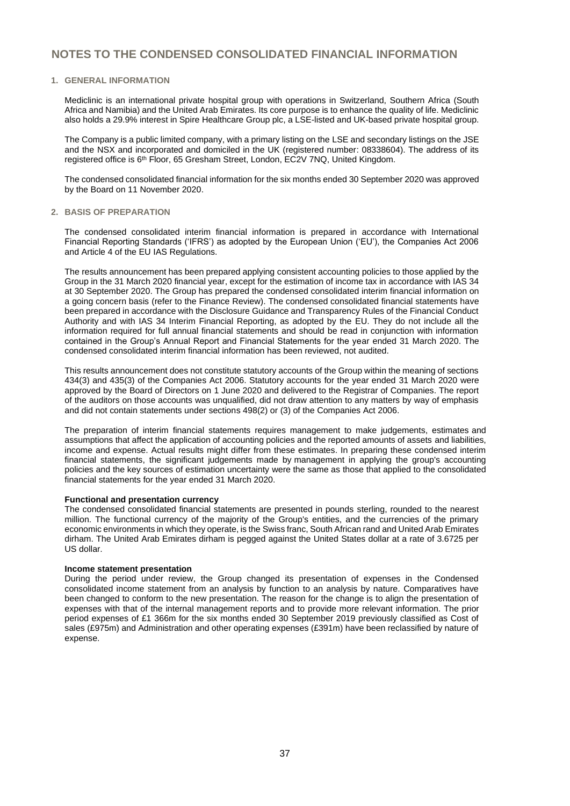#### **1. GENERAL INFORMATION**

Mediclinic is an international private hospital group with operations in Switzerland, Southern Africa (South Africa and Namibia) and the United Arab Emirates. Its core purpose is to enhance the quality of life. Mediclinic also holds a 29.9% interest in Spire Healthcare Group plc, a LSE-listed and UK-based private hospital group.

The Company is a public limited company, with a primary listing on the LSE and secondary listings on the JSE and the NSX and incorporated and domiciled in the UK (registered number: 08338604). The address of its registered office is 6<sup>th</sup> Floor, 65 Gresham Street, London, EC2V 7NQ, United Kingdom.

The condensed consolidated financial information for the six months ended 30 September 2020 was approved by the Board on 11 November 2020.

#### **2. BASIS OF PREPARATION**

The condensed consolidated interim financial information is prepared in accordance with International Financial Reporting Standards ('IFRS') as adopted by the European Union ('EU'), the Companies Act 2006 and Article 4 of the EU IAS Regulations.

The results announcement has been prepared applying consistent accounting policies to those applied by the Group in the 31 March 2020 financial year, except for the estimation of income tax in accordance with IAS 34 at 30 September 2020. The Group has prepared the condensed consolidated interim financial information on a going concern basis (refer to the Finance Review). The condensed consolidated financial statements have been prepared in accordance with the Disclosure Guidance and Transparency Rules of the Financial Conduct Authority and with IAS 34 Interim Financial Reporting, as adopted by the EU. They do not include all the information required for full annual financial statements and should be read in conjunction with information contained in the Group's Annual Report and Financial Statements for the year ended 31 March 2020. The condensed consolidated interim financial information has been reviewed, not audited.

This results announcement does not constitute statutory accounts of the Group within the meaning of sections 434(3) and 435(3) of the Companies Act 2006. Statutory accounts for the year ended 31 March 2020 were approved by the Board of Directors on 1 June 2020 and delivered to the Registrar of Companies. The report of the auditors on those accounts was unqualified, did not draw attention to any matters by way of emphasis and did not contain statements under sections 498(2) or (3) of the Companies Act 2006.

The preparation of interim financial statements requires management to make judgements, estimates and assumptions that affect the application of accounting policies and the reported amounts of assets and liabilities, income and expense. Actual results might differ from these estimates. In preparing these condensed interim financial statements, the significant judgements made by management in applying the group's accounting policies and the key sources of estimation uncertainty were the same as those that applied to the consolidated financial statements for the year ended 31 March 2020.

#### **Functional and presentation currency**

The condensed consolidated financial statements are presented in pounds sterling, rounded to the nearest million. The functional currency of the majority of the Group's entities, and the currencies of the primary economic environments in which they operate, is the Swiss franc, South African rand and United Arab Emirates dirham. The United Arab Emirates dirham is pegged against the United States dollar at a rate of 3.6725 per US dollar.

#### **Income statement presentation**

During the period under review, the Group changed its presentation of expenses in the Condensed consolidated income statement from an analysis by function to an analysis by nature. Comparatives have been changed to conform to the new presentation. The reason for the change is to align the presentation of expenses with that of the internal management reports and to provide more relevant information. The prior period expenses of £1 366m for the six months ended 30 September 2019 previously classified as Cost of sales (£975m) and Administration and other operating expenses (£391m) have been reclassified by nature of expense.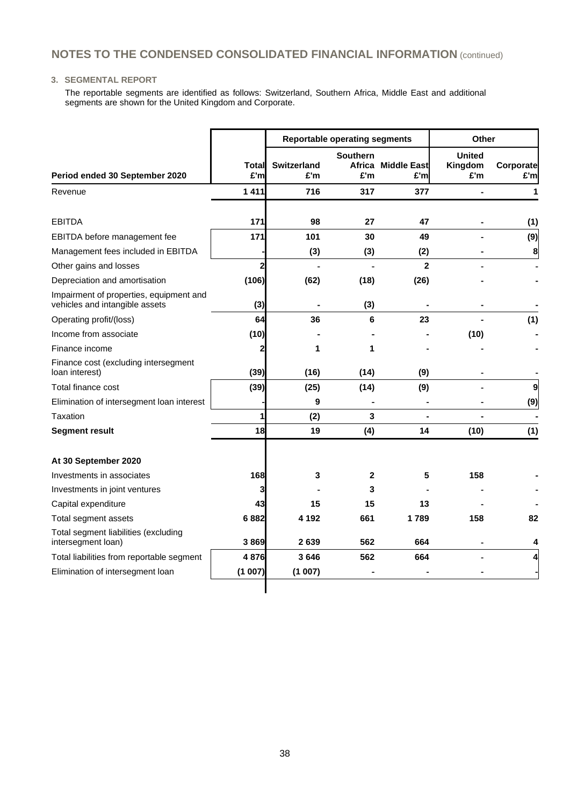#### **3. SEGMENTAL REPORT**

The reportable segments are identified as follows: Switzerland, Southern Africa, Middle East and additional segments are shown for the United Kingdom and Corporate.

|                                                                           |              |                           | <b>Reportable operating segments</b> | Other                     |                                 |                  |
|---------------------------------------------------------------------------|--------------|---------------------------|--------------------------------------|---------------------------|---------------------------------|------------------|
| Period ended 30 September 2020                                            | Total<br>£'m | <b>Switzerland</b><br>£'m | <b>Southern</b><br>£'m               | Africa Middle East<br>£'m | <b>United</b><br>Kingdom<br>£'m | Corporate<br>£'m |
| Revenue                                                                   | 1411         | 716                       | 317                                  | 377                       |                                 | 1                |
|                                                                           |              |                           |                                      |                           |                                 |                  |
| <b>EBITDA</b>                                                             | 171          | 98                        | 27                                   | 47                        |                                 | (1)              |
| EBITDA before management fee                                              | 171          | 101                       | 30                                   | 49                        |                                 | (9)              |
| Management fees included in EBITDA                                        |              | (3)                       | (3)                                  | (2)                       |                                 | 8                |
| Other gains and losses                                                    | 2            |                           |                                      | $\mathbf{2}$              |                                 |                  |
| Depreciation and amortisation                                             | (106)        | (62)                      | (18)                                 | (26)                      |                                 |                  |
| Impairment of properties, equipment and<br>vehicles and intangible assets | (3)          | $\blacksquare$            | (3)                                  | $\blacksquare$            |                                 |                  |
| Operating profit/(loss)                                                   | 64           | 36                        | 6                                    | 23                        |                                 | (1)              |
| Income from associate                                                     | (10)         |                           |                                      |                           | (10)                            |                  |
| Finance income                                                            | 2            | 1                         | 1                                    |                           |                                 |                  |
| Finance cost (excluding intersegment<br>loan interest)                    | (39)         | (16)                      | (14)                                 | (9)                       |                                 |                  |
| Total finance cost                                                        | (39)         | (25)                      | (14)                                 | (9)                       |                                 | $\overline{9}$   |
| Elimination of intersegment loan interest                                 |              | 9                         |                                      |                           |                                 | (9)              |
| Taxation                                                                  | 1            | (2)                       | 3                                    |                           |                                 |                  |
| <b>Segment result</b>                                                     | 18           | 19                        | (4)                                  | 14                        | (10)                            | (1)              |
| At 30 September 2020                                                      |              |                           |                                      |                           |                                 |                  |
| Investments in associates                                                 | 168          | 3                         | $\mathbf{2}$                         | 5                         | 158                             |                  |
| Investments in joint ventures                                             | 3            |                           | 3                                    |                           |                                 |                  |
| Capital expenditure                                                       | 43           | 15                        | 15                                   | 13                        |                                 |                  |
| Total segment assets                                                      | 6882         | 4 1 9 2                   | 661                                  | 1789                      | 158                             | 82               |
| Total segment liabilities (excluding<br>intersegment loan)                | 3869         | 2639                      | 562                                  | 664                       |                                 | 4                |
| Total liabilities from reportable segment                                 | 4876         | 3646                      | 562                                  | 664                       |                                 | 4                |
| Elimination of intersegment loan                                          | (1007)       | (1007)                    |                                      |                           |                                 |                  |
|                                                                           |              |                           |                                      |                           |                                 |                  |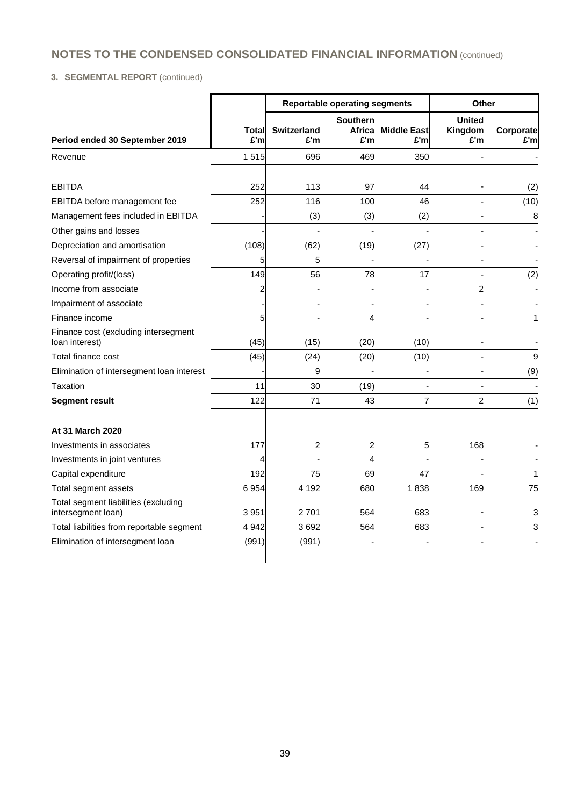### **3. SEGMENTAL REPORT** (continued)

|                                                            |              |                           | <b>Reportable operating segments</b> | Other                     |                                 |                  |
|------------------------------------------------------------|--------------|---------------------------|--------------------------------------|---------------------------|---------------------------------|------------------|
| Period ended 30 September 2019                             | Total<br>£'m | <b>Switzerland</b><br>£'m | <b>Southern</b><br>£'m               | Africa Middle East<br>£'m | <b>United</b><br>Kingdom<br>£'m | Corporate<br>£'m |
| Revenue                                                    | 1515         | 696                       | 469                                  | 350                       |                                 |                  |
|                                                            |              |                           |                                      |                           |                                 |                  |
| <b>EBITDA</b>                                              | 252          | 113                       | 97                                   | 44                        |                                 | (2)              |
| EBITDA before management fee                               | 252          | 116                       | 100                                  | 46                        |                                 | (10)             |
| Management fees included in EBITDA                         |              | (3)                       | (3)                                  | (2)                       |                                 | 8                |
| Other gains and losses                                     |              | $\overline{a}$            | $\overline{a}$                       |                           |                                 |                  |
| Depreciation and amortisation                              | (108)        | (62)                      | (19)                                 | (27)                      |                                 |                  |
| Reversal of impairment of properties                       | 5            | 5                         | $\overline{\phantom{a}}$             |                           |                                 |                  |
| Operating profit/(loss)                                    | 149          | 56                        | 78                                   | 17                        |                                 | (2)              |
| Income from associate                                      | 2            |                           |                                      |                           | 2                               |                  |
| Impairment of associate                                    |              |                           |                                      |                           |                                 |                  |
| Finance income                                             | 5            |                           | 4                                    |                           |                                 | 1                |
| Finance cost (excluding intersegment<br>loan interest)     | (45)         | (15)                      | (20)                                 | (10)                      |                                 |                  |
| Total finance cost                                         | (45)         | (24)                      | (20)                                 | (10)                      |                                 | 9                |
| Elimination of intersegment loan interest                  |              | 9                         |                                      |                           |                                 | (9)              |
| Taxation                                                   | 11           | 30                        | (19)                                 | $\blacksquare$            | $\overline{\phantom{a}}$        |                  |
| <b>Segment result</b>                                      | 122          | 71                        | 43                                   | $\overline{7}$            | $\overline{2}$                  | (1)              |
| At 31 March 2020                                           |              |                           |                                      |                           |                                 |                  |
| Investments in associates                                  | 177          | 2                         | 2                                    | 5                         | 168                             |                  |
| Investments in joint ventures                              | 4            |                           | 4                                    |                           |                                 |                  |
| Capital expenditure                                        | 192          | 75                        | 69                                   | 47                        |                                 | 1                |
| Total segment assets                                       | 6954         | 4 1 9 2                   | 680                                  | 1838                      | 169                             | 75               |
| Total segment liabilities (excluding<br>intersegment loan) | 3 9 5 1      | 2701                      | 564                                  | 683                       |                                 | 3                |
| Total liabilities from reportable segment                  | 4 9 4 2      | 3692                      | 564                                  | 683                       |                                 | 3                |
| Elimination of intersegment loan                           | (991)        | (991)                     |                                      |                           |                                 |                  |
|                                                            |              |                           |                                      |                           |                                 |                  |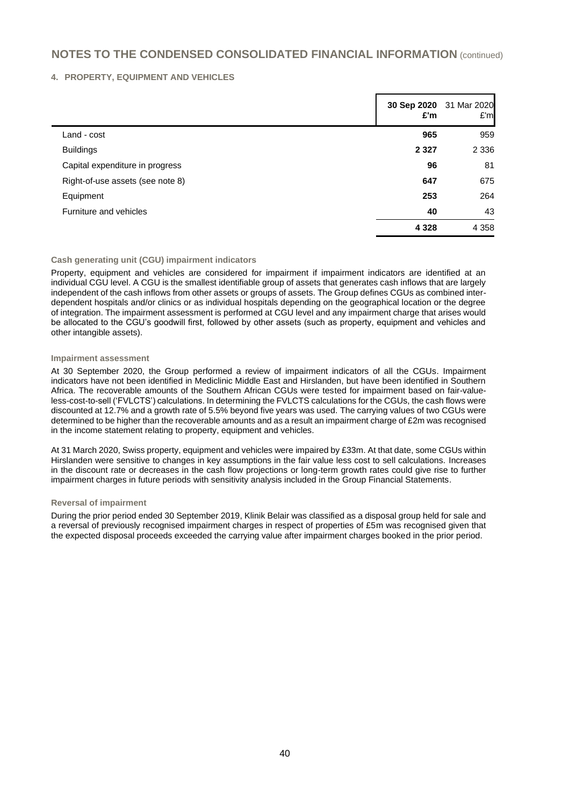#### **4. PROPERTY, EQUIPMENT AND VEHICLES**

|                                  | £'m     | 30 Sep 2020 31 Mar 2020<br>E'm |
|----------------------------------|---------|--------------------------------|
| Land - cost                      | 965     | 959                            |
| <b>Buildings</b>                 | 2 3 2 7 | 2 3 3 6                        |
| Capital expenditure in progress  | 96      | 81                             |
| Right-of-use assets (see note 8) | 647     | 675                            |
| Equipment                        | 253     | 264                            |
| Furniture and vehicles           | 40      | 43                             |
|                                  | 4 3 2 8 | 4 3 5 8                        |

#### **Cash generating unit (CGU) impairment indicators**

Property, equipment and vehicles are considered for impairment if impairment indicators are identified at an individual CGU level. A CGU is the smallest identifiable group of assets that generates cash inflows that are largely independent of the cash inflows from other assets or groups of assets. The Group defines CGUs as combined interdependent hospitals and/or clinics or as individual hospitals depending on the geographical location or the degree of integration. The impairment assessment is performed at CGU level and any impairment charge that arises would be allocated to the CGU's goodwill first, followed by other assets (such as property, equipment and vehicles and other intangible assets).

#### **Impairment assessment**

At 30 September 2020, the Group performed a review of impairment indicators of all the CGUs. Impairment indicators have not been identified in Mediclinic Middle East and Hirslanden, but have been identified in Southern Africa. The recoverable amounts of the Southern African CGUs were tested for impairment based on fair-valueless-cost-to-sell ('FVLCTS') calculations. In determining the FVLCTS calculations for the CGUs, the cash flows were discounted at 12.7% and a growth rate of 5.5% beyond five years was used. The carrying values of two CGUs were determined to be higher than the recoverable amounts and as a result an impairment charge of £2m was recognised in the income statement relating to property, equipment and vehicles.

At 31 March 2020, Swiss property, equipment and vehicles were impaired by £33m. At that date, some CGUs within Hirslanden were sensitive to changes in key assumptions in the fair value less cost to sell calculations. Increases in the discount rate or decreases in the cash flow projections or long-term growth rates could give rise to further impairment charges in future periods with sensitivity analysis included in the Group Financial Statements.

#### **Reversal of impairment**

During the prior period ended 30 September 2019, Klinik Belair was classified as a disposal group held for sale and a reversal of previously recognised impairment charges in respect of properties of £5m was recognised given that the expected disposal proceeds exceeded the carrying value after impairment charges booked in the prior period.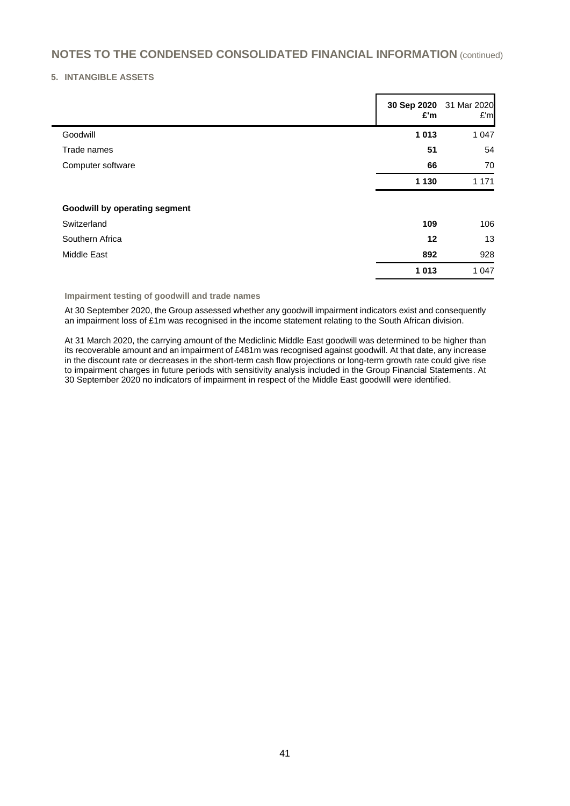#### **5. INTANGIBLE ASSETS**

|                                      | 30 Sep 2020 31 Mar 2020<br>£'m | E'm     |
|--------------------------------------|--------------------------------|---------|
| Goodwill                             | 1 0 1 3                        | 1 0 4 7 |
| Trade names                          | 51                             | 54      |
| Computer software                    | 66                             | 70      |
|                                      | 1 1 3 0                        | 1 1 7 1 |
| <b>Goodwill by operating segment</b> |                                |         |
| Switzerland                          | 109                            | 106     |
| Southern Africa                      | 12                             | 13      |
| Middle East                          | 892                            | 928     |
|                                      | 1 0 1 3                        | 1 0 4 7 |

#### **Impairment testing of goodwill and trade names**

At 30 September 2020, the Group assessed whether any goodwill impairment indicators exist and consequently an impairment loss of £1m was recognised in the income statement relating to the South African division.

At 31 March 2020, the carrying amount of the Mediclinic Middle East goodwill was determined to be higher than its recoverable amount and an impairment of £481m was recognised against goodwill. At that date, any increase in the discount rate or decreases in the short-term cash flow projections or long-term growth rate could give rise to impairment charges in future periods with sensitivity analysis included in the Group Financial Statements. At 30 September 2020 no indicators of impairment in respect of the Middle East goodwill were identified.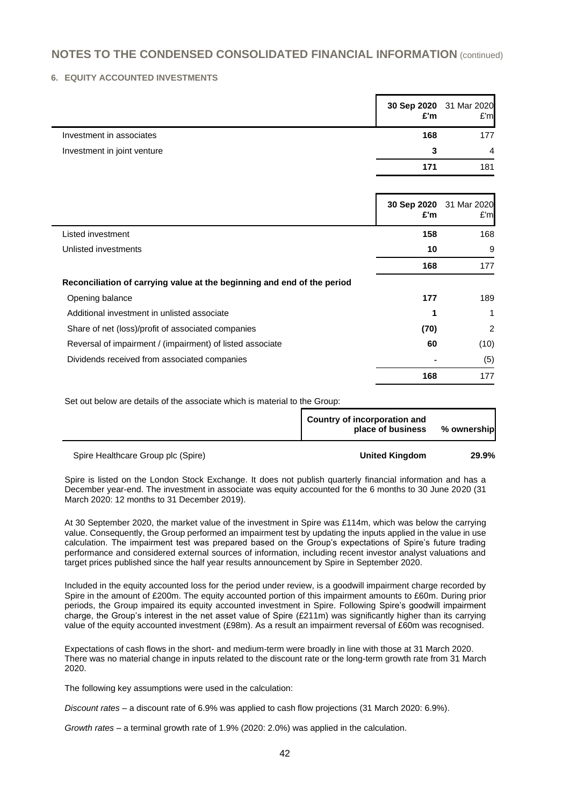#### **6. EQUITY ACCOUNTED INVESTMENTS**

|                             | 30 Sep 2020 31 Mar 2020<br>£'m | E'm            |
|-----------------------------|--------------------------------|----------------|
| Investment in associates    | 168                            | 177            |
| Investment in joint venture |                                | $\overline{4}$ |
|                             |                                | 181            |

|                                                                         | 30 Sep 2020<br>£'m | 31 Mar 2020<br>E'm |
|-------------------------------------------------------------------------|--------------------|--------------------|
| Listed investment                                                       | 158                | 168                |
| Unlisted investments                                                    | 10                 | 9                  |
|                                                                         | 168                | 177                |
| Reconciliation of carrying value at the beginning and end of the period |                    |                    |
| Opening balance                                                         | 177                | 189                |
| Additional investment in unlisted associate                             | 1                  |                    |
| Share of net (loss)/profit of associated companies                      | (70)               | 2                  |
| Reversal of impairment / (impairment) of listed associate               | 60                 | (10)               |
| Dividends received from associated companies                            |                    | (5)                |
|                                                                         | 168                | 177                |

Set out below are details of the associate which is material to the Group:

|           | Country of incorporation and<br>place of business | % ownership |
|-----------|---------------------------------------------------|-------------|
| _ _ _ _ _ | -- - - ---                                        | -----       |

#### Spire Healthcare Group plc (Spire) **United Kingdom 29.9%**

Spire is listed on the London Stock Exchange. It does not publish quarterly financial information and has a December year-end. The investment in associate was equity accounted for the 6 months to 30 June 2020 (31 March 2020: 12 months to 31 December 2019).

At 30 September 2020, the market value of the investment in Spire was £114m, which was below the carrying value. Consequently, the Group performed an impairment test by updating the inputs applied in the value in use calculation. The impairment test was prepared based on the Group's expectations of Spire's future trading performance and considered external sources of information, including recent investor analyst valuations and target prices published since the half year results announcement by Spire in September 2020.

Included in the equity accounted loss for the period under review, is a goodwill impairment charge recorded by Spire in the amount of £200m. The equity accounted portion of this impairment amounts to £60m. During prior periods, the Group impaired its equity accounted investment in Spire. Following Spire's goodwill impairment charge, the Group's interest in the net asset value of Spire (£211m) was significantly higher than its carrying value of the equity accounted investment (£98m). As a result an impairment reversal of £60m was recognised.

Expectations of cash flows in the short- and medium-term were broadly in line with those at 31 March 2020. There was no material change in inputs related to the discount rate or the long-term growth rate from 31 March 2020.

The following key assumptions were used in the calculation:

*Discount rates* – a discount rate of 6.9% was applied to cash flow projections (31 March 2020: 6.9%).

*Growth rates* – a terminal growth rate of 1.9% (2020: 2.0%) was applied in the calculation.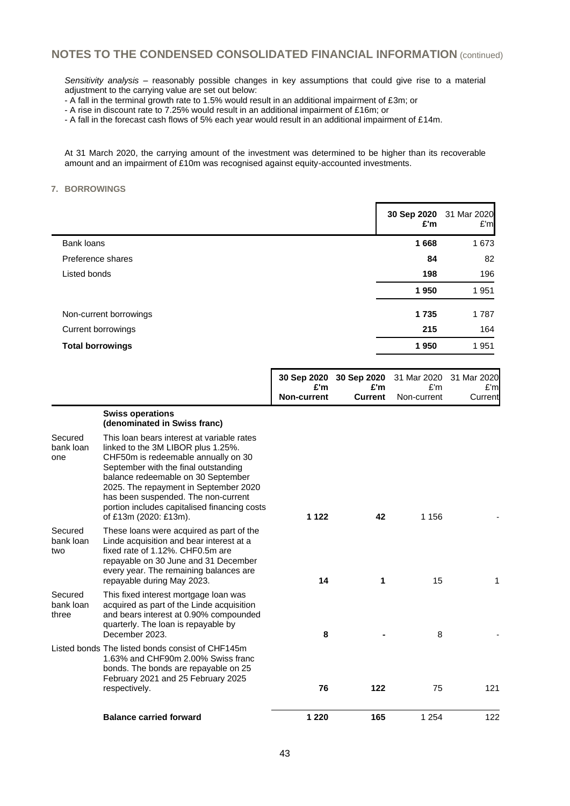*Sensitivity analysis* – reasonably possible changes in key assumptions that could give rise to a material adjustment to the carrying value are set out below:

- A fall in the terminal growth rate to 1.5% would result in an additional impairment of £3m; or

- A rise in discount rate to 7.25% would result in an additional impairment of £16m; or

- A fall in the forecast cash flows of 5% each year would result in an additional impairment of £14m.

At 31 March 2020, the carrying amount of the investment was determined to be higher than its recoverable amount and an impairment of £10m was recognised against equity-accounted investments.

#### **7. BORROWINGS**

l,

|                         | £'m  | 30 Sep 2020 31 Mar 2020<br>E'm |
|-------------------------|------|--------------------------------|
| Bank loans              | 1668 | 1673                           |
| Preference shares       | 84   | 82                             |
| Listed bonds            | 198  | 196                            |
|                         | 1950 | 1951                           |
| Non-current borrowings  | 1735 | 1787                           |
| Current borrowings      | 215  | 164                            |
| <b>Total borrowings</b> | 1950 | 1951                           |

|                               |                                                                                                                                                                                                                                                                                                                                                                | £'m                | 30 Sep 2020 30 Sep 2020<br>£'m | 31 Mar 2020<br>E'm | 31 Mar 2020<br>E'm |
|-------------------------------|----------------------------------------------------------------------------------------------------------------------------------------------------------------------------------------------------------------------------------------------------------------------------------------------------------------------------------------------------------------|--------------------|--------------------------------|--------------------|--------------------|
|                               |                                                                                                                                                                                                                                                                                                                                                                | <b>Non-current</b> | <b>Current</b>                 | Non-current        | Current            |
|                               | <b>Swiss operations</b><br>(denominated in Swiss franc)                                                                                                                                                                                                                                                                                                        |                    |                                |                    |                    |
| Secured<br>bank loan<br>one   | This loan bears interest at variable rates<br>linked to the 3M LIBOR plus 1.25%.<br>CHF50m is redeemable annually on 30<br>September with the final outstanding<br>balance redeemable on 30 September<br>2025. The repayment in September 2020<br>has been suspended. The non-current<br>portion includes capitalised financing costs<br>of £13m (2020: £13m). | 1 1 2 2            | 42                             | 1 1 5 6            |                    |
| Secured<br>bank loan<br>two   | These loans were acquired as part of the<br>Linde acquisition and bear interest at a<br>fixed rate of 1.12%. CHF0.5m are<br>repayable on 30 June and 31 December<br>every year. The remaining balances are<br>repayable during May 2023.                                                                                                                       | 14                 | 1                              | 15                 |                    |
| Secured<br>bank loan<br>three | This fixed interest mortgage loan was<br>acquired as part of the Linde acquisition<br>and bears interest at 0.90% compounded<br>quarterly. The loan is repayable by<br>December 2023.                                                                                                                                                                          | 8                  |                                | 8                  |                    |
|                               | Listed bonds The listed bonds consist of CHF145m<br>1.63% and CHF90m 2.00% Swiss franc<br>bonds. The bonds are repayable on 25<br>February 2021 and 25 February 2025<br>respectively.                                                                                                                                                                          | 76                 | 122                            | 75                 | 121                |
|                               | <b>Balance carried forward</b>                                                                                                                                                                                                                                                                                                                                 | 1 2 2 0            | 165                            | 1 2 5 4            | 122                |
|                               |                                                                                                                                                                                                                                                                                                                                                                |                    |                                |                    |                    |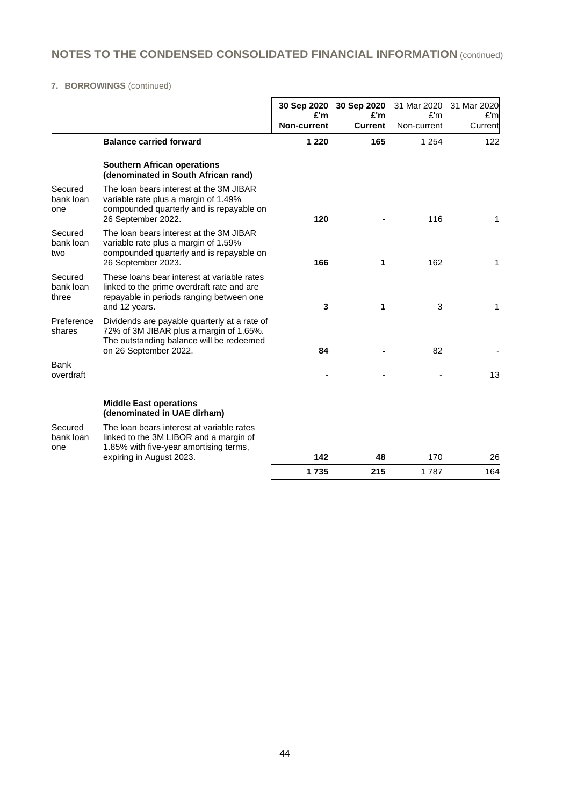### **7. BORROWINGS** (continued)

|                               |                                                                                                                                                              | £'m<br><b>Non-current</b> | 30 Sep 2020 30 Sep 2020<br>£'m<br><b>Current</b> | 31 Mar 2020<br>£'m<br>Non-current | 31 Mar 2020<br>£'m<br>Current |
|-------------------------------|--------------------------------------------------------------------------------------------------------------------------------------------------------------|---------------------------|--------------------------------------------------|-----------------------------------|-------------------------------|
|                               | <b>Balance carried forward</b>                                                                                                                               | 1 2 2 0                   | 165                                              | 1 2 5 4                           | 122                           |
|                               | <b>Southern African operations</b><br>(denominated in South African rand)                                                                                    |                           |                                                  |                                   |                               |
| Secured<br>bank loan<br>one   | The loan bears interest at the 3M JIBAR<br>variable rate plus a margin of 1.49%<br>compounded quarterly and is repayable on<br>26 September 2022.            | 120                       |                                                  | 116                               | 1                             |
| Secured<br>bank loan<br>two   | The loan bears interest at the 3M JIBAR<br>variable rate plus a margin of 1.59%<br>compounded quarterly and is repayable on<br>26 September 2023.            | 166                       | 1                                                | 162                               | 1                             |
| Secured<br>bank loan<br>three | These loans bear interest at variable rates<br>linked to the prime overdraft rate and are<br>repayable in periods ranging between one<br>and 12 years.       | 3                         | 1                                                | 3                                 | 1                             |
| Preference<br>shares          | Dividends are payable quarterly at a rate of<br>72% of 3M JIBAR plus a margin of 1.65%.<br>The outstanding balance will be redeemed<br>on 26 September 2022. | 84                        |                                                  | 82                                |                               |
| <b>Bank</b><br>overdraft      |                                                                                                                                                              |                           |                                                  |                                   | 13                            |
|                               | <b>Middle East operations</b><br>(denominated in UAE dirham)                                                                                                 |                           |                                                  |                                   |                               |
| Secured<br>bank loan<br>one   | The loan bears interest at variable rates<br>linked to the 3M LIBOR and a margin of<br>1.85% with five-year amortising terms,<br>expiring in August 2023.    | 142                       | 48                                               | 170                               | 26                            |
|                               |                                                                                                                                                              | 1735                      | 215                                              | 1787                              | 164                           |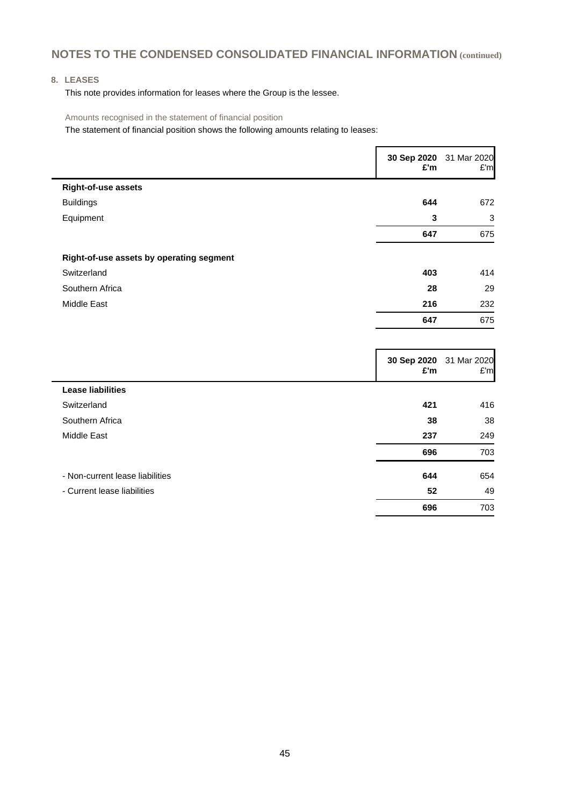### **8. LEASES**

This note provides information for leases where the Group is the lessee.

Amounts recognised in the statement of financial position

The statement of financial position shows the following amounts relating to leases:

|                                          | £'m | 30 Sep 2020 31 Mar 2020<br>E'm |
|------------------------------------------|-----|--------------------------------|
| Right-of-use assets                      |     |                                |
| <b>Buildings</b>                         | 644 | 672                            |
| Equipment                                | 3   | 3                              |
|                                          | 647 | 675                            |
| Right-of-use assets by operating segment |     |                                |
| Switzerland                              | 403 | 414                            |
| Southern Africa                          | 28  | 29                             |
| Middle East                              | 216 | 232                            |
|                                          | 647 | 675                            |
|                                          |     |                                |

|                                 | 30 Sep 2020<br>£'m | 31 Mar 2020<br>E'm |
|---------------------------------|--------------------|--------------------|
| <b>Lease liabilities</b>        |                    |                    |
| Switzerland                     | 421                | 416                |
| Southern Africa                 | 38                 | 38                 |
| Middle East                     | 237                | 249                |
|                                 | 696                | 703                |
| - Non-current lease liabilities | 644                | 654                |
| - Current lease liabilities     | 52                 | 49                 |
|                                 | 696                | 703                |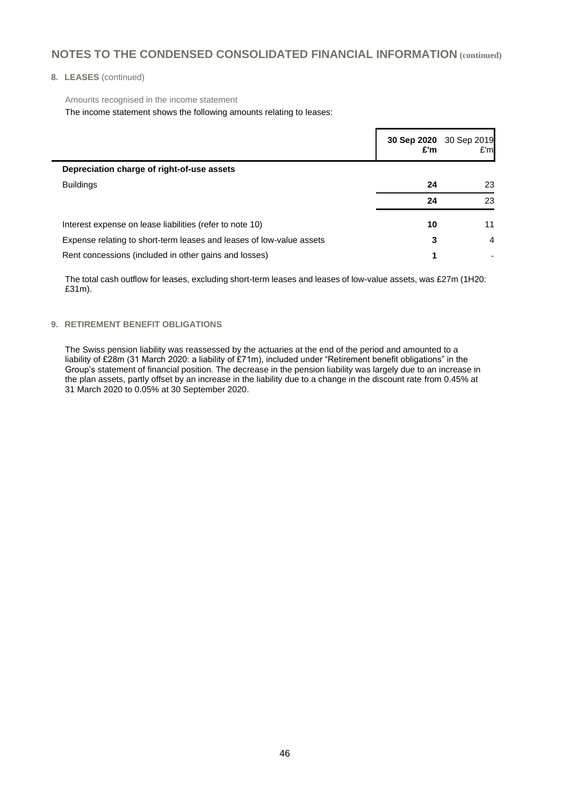#### **8. LEASES** (continued)

Amounts recognised in the income statement

The income statement shows the following amounts relating to leases:

|                                                                      | £'m | 30 Sep 2020 30 Sep 2019<br>E'm |
|----------------------------------------------------------------------|-----|--------------------------------|
| Depreciation charge of right-of-use assets                           |     |                                |
| <b>Buildings</b>                                                     | 24  | 23                             |
|                                                                      | 24  | 23                             |
| Interest expense on lease liabilities (refer to note 10)             | 10  | 11                             |
| Expense relating to short-term leases and leases of low-value assets | 3   | 4                              |
| Rent concessions (included in other gains and losses)                | 1   |                                |

The total cash outflow for leases, excluding short-term leases and leases of low-value assets, was £27m (1H20: £31m).

#### **9. RETIREMENT BENEFIT OBLIGATIONS**

The Swiss pension liability was reassessed by the actuaries at the end of the period and amounted to a liability of £28m (31 March 2020: a liability of £71m), included under "Retirement benefit obligations" in the Group's statement of financial position. The decrease in the pension liability was largely due to an increase in the plan assets, partly offset by an increase in the liability due to a change in the discount rate from 0.45% at 31 March 2020 to 0.05% at 30 September 2020.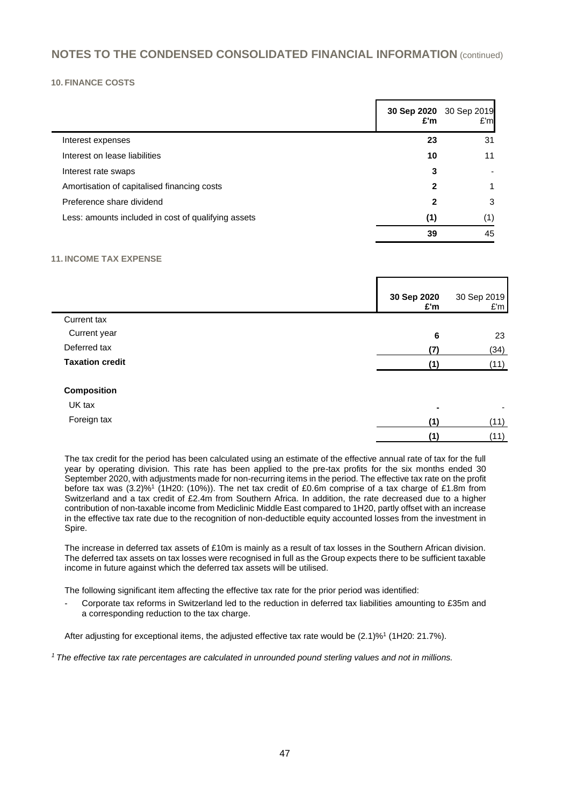#### **10. FINANCE COSTS**

|                                                     | £'m | 30 Sep 2020 30 Sep 2019<br>E'm |
|-----------------------------------------------------|-----|--------------------------------|
| Interest expenses                                   | 23  | 31                             |
| Interest on lease liabilities                       | 10  | 11                             |
| Interest rate swaps                                 | 3   |                                |
| Amortisation of capitalised financing costs         | 2   |                                |
| Preference share dividend                           | 2   | 3                              |
| Less: amounts included in cost of qualifying assets | (1) | (1)                            |
|                                                     | 39  | 45                             |

#### **11. INCOME TAX EXPENSE**

|                        | 30 Sep 2020<br>£'m | 30 Sep 2019<br>£'m |
|------------------------|--------------------|--------------------|
| Current tax            |                    |                    |
| Current year           | 6                  | 23                 |
| Deferred tax           | (7)                | (34)               |
| <b>Taxation credit</b> | (1)                | (11)               |
| <b>Composition</b>     |                    |                    |
| UK tax                 | $\blacksquare$     |                    |
| Foreign tax            | (1)                | (11)               |
|                        | (1)                | (11)               |

The tax credit for the period has been calculated using an estimate of the effective annual rate of tax for the full year by operating division. This rate has been applied to the pre-tax profits for the six months ended 30 September 2020, with adjustments made for non-recurring items in the period. The effective tax rate on the profit before tax was (3.2)%<sup>1</sup> (1H20: (10%)). The net tax credit of £0.6m comprise of a tax charge of £1.8m from Switzerland and a tax credit of £2.4m from Southern Africa. In addition, the rate decreased due to a higher contribution of non-taxable income from Mediclinic Middle East compared to 1H20, partly offset with an increase in the effective tax rate due to the recognition of non-deductible equity accounted losses from the investment in Spire.

The increase in deferred tax assets of £10m is mainly as a result of tax losses in the Southern African division. The deferred tax assets on tax losses were recognised in full as the Group expects there to be sufficient taxable income in future against which the deferred tax assets will be utilised.

The following significant item affecting the effective tax rate for the prior period was identified:

- Corporate tax reforms in Switzerland led to the reduction in deferred tax liabilities amounting to £35m and a corresponding reduction to the tax charge.

After adjusting for exceptional items, the adjusted effective tax rate would be (2.1)%<sup>1</sup> (1H20: 21.7%).

*<sup>1</sup> The effective tax rate percentages are calculated in unrounded pound sterling values and not in millions.*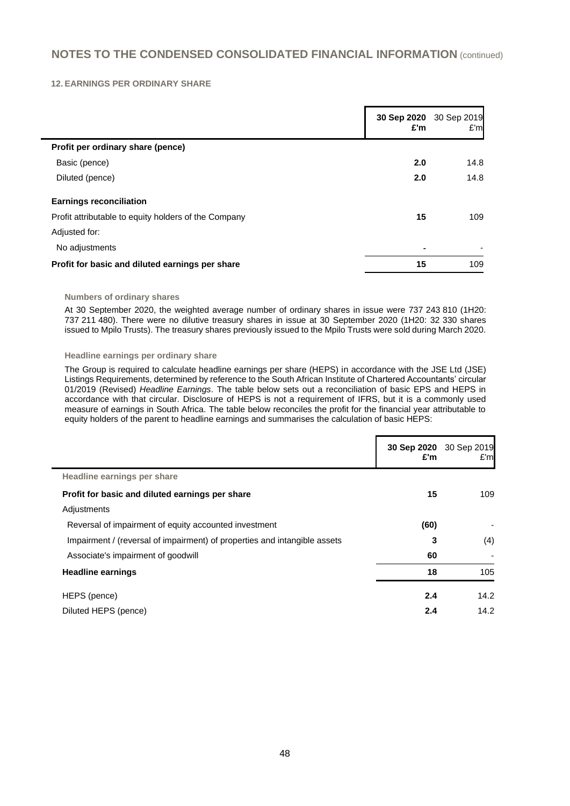#### **12. EARNINGS PER ORDINARY SHARE**

|                                                      | 30 Sep 2020<br>£'m | 30 Sep 2019<br>E'm |
|------------------------------------------------------|--------------------|--------------------|
| Profit per ordinary share (pence)                    |                    |                    |
| Basic (pence)                                        | 2.0                | 14.8               |
| Diluted (pence)                                      | 2.0                | 14.8               |
| <b>Earnings reconciliation</b>                       |                    |                    |
| Profit attributable to equity holders of the Company | 15                 | 109                |
| Adjusted for:                                        |                    |                    |
| No adjustments                                       |                    |                    |
| Profit for basic and diluted earnings per share      | 15                 | 109                |

#### **Numbers of ordinary shares**

At 30 September 2020, the weighted average number of ordinary shares in issue were 737 243 810 (1H20: 737 211 480). There were no dilutive treasury shares in issue at 30 September 2020 (1H20: 32 330 shares issued to Mpilo Trusts). The treasury shares previously issued to the Mpilo Trusts were sold during March 2020.

#### **Headline earnings per ordinary share**

The Group is required to calculate headline earnings per share (HEPS) in accordance with the JSE Ltd (JSE) Listings Requirements, determined by reference to the South African Institute of Chartered Accountants' circular 01/2019 (Revised) *Headline Earnings*. The table below sets out a reconciliation of basic EPS and HEPS in accordance with that circular. Disclosure of HEPS is not a requirement of IFRS, but it is a commonly used measure of earnings in South Africa. The table below reconciles the profit for the financial year attributable to equity holders of the parent to headline earnings and summarises the calculation of basic HEPS:

|                                                                           | 30 Sep 2020<br>£'m | 30 Sep 2019<br>£'ml |
|---------------------------------------------------------------------------|--------------------|---------------------|
| Headline earnings per share                                               |                    |                     |
| Profit for basic and diluted earnings per share                           | 15                 | 109                 |
| Adjustments                                                               |                    |                     |
| Reversal of impairment of equity accounted investment                     | (60)               |                     |
| Impairment / (reversal of impairment) of properties and intangible assets | 3                  | (4)                 |
| Associate's impairment of goodwill                                        | 60                 |                     |
| <b>Headline earnings</b>                                                  | 18                 | 105                 |
| HEPS (pence)                                                              | 2.4                | 14.2                |
| Diluted HEPS (pence)                                                      | 2.4                | 14.2                |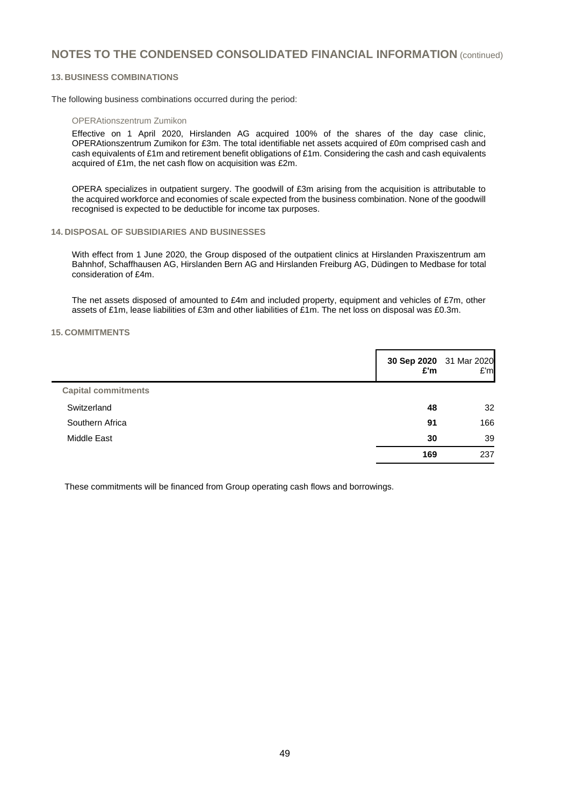#### **13. BUSINESS COMBINATIONS**

The following business combinations occurred during the period:

#### OPERAtionszentrum Zumikon

Effective on 1 April 2020, Hirslanden AG acquired 100% of the shares of the day case clinic, OPERAtionszentrum Zumikon for £3m. The total identifiable net assets acquired of £0m comprised cash and cash equivalents of £1m and retirement benefit obligations of £1m. Considering the cash and cash equivalents acquired of £1m, the net cash flow on acquisition was £2m.

OPERA specializes in outpatient surgery. The goodwill of £3m arising from the acquisition is attributable to the acquired workforce and economies of scale expected from the business combination. None of the goodwill recognised is expected to be deductible for income tax purposes.

#### **14. DISPOSAL OF SUBSIDIARIES AND BUSINESSES**

With effect from 1 June 2020, the Group disposed of the outpatient clinics at Hirslanden Praxiszentrum am Bahnhof, Schaffhausen AG, Hirslanden Bern AG and Hirslanden Freiburg AG, Düdingen to Medbase for total consideration of £4m.

The net assets disposed of amounted to £4m and included property, equipment and vehicles of £7m, other assets of £1m, lease liabilities of £3m and other liabilities of £1m. The net loss on disposal was £0.3m.

#### **15. COMMITMENTS**

|                            | £'m | 30 Sep 2020 31 Mar 2020<br>E'm |
|----------------------------|-----|--------------------------------|
| <b>Capital commitments</b> |     |                                |
| Switzerland                | 48  | 32                             |
| Southern Africa            | 91  | 166                            |
| <b>Middle East</b>         | 30  | 39                             |
|                            | 169 | 237                            |

These commitments will be financed from Group operating cash flows and borrowings.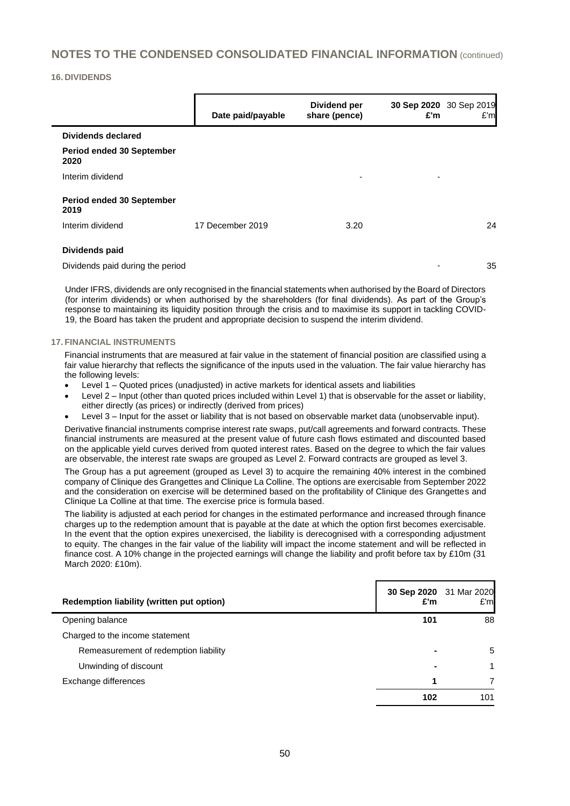#### **16. DIVIDENDS**

|                                   | Date paid/payable | Dividend per<br>share (pence) | £'m | 30 Sep 2020 30 Sep 2019<br>E'm |
|-----------------------------------|-------------------|-------------------------------|-----|--------------------------------|
| Dividends declared                |                   |                               |     |                                |
| Period ended 30 September<br>2020 |                   |                               |     |                                |
| Interim dividend                  |                   | $\overline{\phantom{a}}$      | -   |                                |
| Period ended 30 September<br>2019 |                   |                               |     |                                |
| Interim dividend                  | 17 December 2019  | 3.20                          |     | 24                             |
| Dividends paid                    |                   |                               |     |                                |
| Dividends paid during the period  |                   |                               | -   | 35                             |

Under IFRS, dividends are only recognised in the financial statements when authorised by the Board of Directors (for interim dividends) or when authorised by the shareholders (for final dividends). As part of the Group's response to maintaining its liquidity position through the crisis and to maximise its support in tackling COVID-19, the Board has taken the prudent and appropriate decision to suspend the interim dividend.

#### **17. FINANCIAL INSTRUMENTS**

Financial instruments that are measured at fair value in the statement of financial position are classified using a fair value hierarchy that reflects the significance of the inputs used in the valuation. The fair value hierarchy has the following levels:

- Level 1 Quoted prices (unadjusted) in active markets for identical assets and liabilities
- Level 2 Input (other than quoted prices included within Level 1) that is observable for the asset or liability, either directly (as prices) or indirectly (derived from prices)
- Level 3 Input for the asset or liability that is not based on observable market data (unobservable input).

Derivative financial instruments comprise interest rate swaps, put/call agreements and forward contracts. These financial instruments are measured at the present value of future cash flows estimated and discounted based on the applicable yield curves derived from quoted interest rates. Based on the degree to which the fair values are observable, the interest rate swaps are grouped as Level 2. Forward contracts are grouped as level 3.

The Group has a put agreement (grouped as Level 3) to acquire the remaining 40% interest in the combined company of Clinique des Grangettes and Clinique La Colline. The options are exercisable from September 2022 and the consideration on exercise will be determined based on the profitability of Clinique des Grangettes and Clinique La Colline at that time. The exercise price is formula based.

The liability is adjusted at each period for changes in the estimated performance and increased through finance charges up to the redemption amount that is payable at the date at which the option first becomes exercisable. In the event that the option expires unexercised, the liability is derecognised with a corresponding adjustment to equity. The changes in the fair value of the liability will impact the income statement and will be reflected in finance cost. A 10% change in the projected earnings will change the liability and profit before tax by £10m (31 March 2020: £10m).

| Redemption liability (written put option) | 30 Sep 2020 31 Mar 2020<br>£'m | E'm |
|-------------------------------------------|--------------------------------|-----|
| Opening balance                           | 101                            | 88  |
| Charged to the income statement           |                                |     |
| Remeasurement of redemption liability     | $\blacksquare$                 | 5   |
| Unwinding of discount                     |                                | 1   |
| Exchange differences                      | 1                              |     |
|                                           | 102                            | 101 |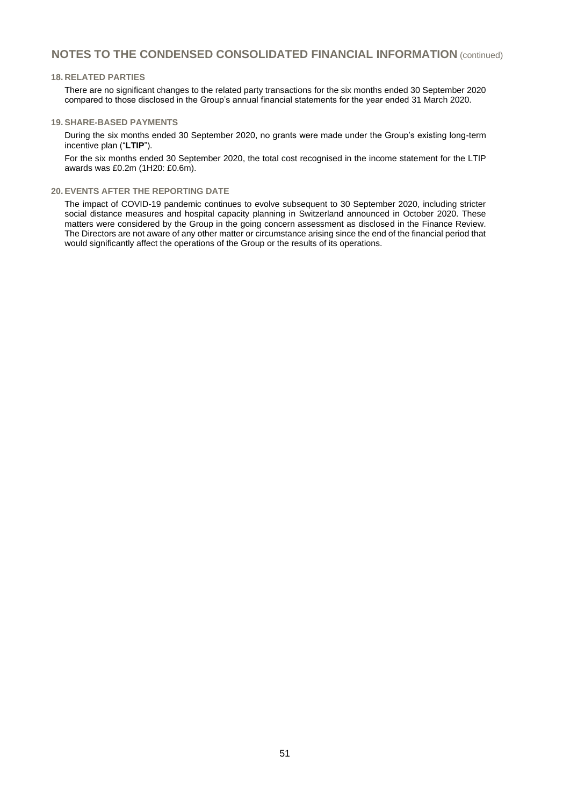#### **18. RELATED PARTIES**

There are no significant changes to the related party transactions for the six months ended 30 September 2020 compared to those disclosed in the Group's annual financial statements for the year ended 31 March 2020.

#### **19. SHARE-BASED PAYMENTS**

During the six months ended 30 September 2020, no grants were made under the Group's existing long-term incentive plan ("**LTIP**").

For the six months ended 30 September 2020, the total cost recognised in the income statement for the LTIP awards was £0.2m (1H20: £0.6m).

#### **20. EVENTS AFTER THE REPORTING DATE**

The impact of COVID-19 pandemic continues to evolve subsequent to 30 September 2020, including stricter social distance measures and hospital capacity planning in Switzerland announced in October 2020. These matters were considered by the Group in the going concern assessment as disclosed in the Finance Review. The Directors are not aware of any other matter or circumstance arising since the end of the financial period that would significantly affect the operations of the Group or the results of its operations.